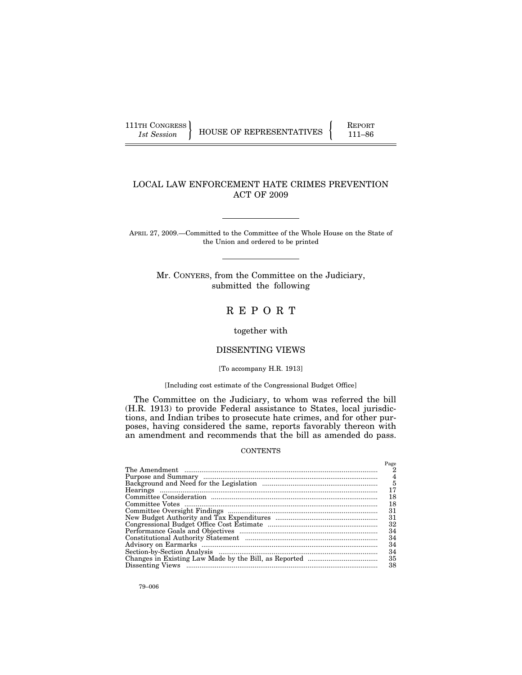111TH CONGRESS HOUSE OF REPRESENTATIVES FEPORT 111–86

# LOCAL LAW ENFORCEMENT HATE CRIMES PREVENTION ACT OF 2009

APRIL 27, 2009.—Committed to the Committee of the Whole House on the State of the Union and ordered to be printed

> Mr. CONYERS, from the Committee on the Judiciary, submitted the following

# R E P O R T

# together with

# DISSENTING VIEWS

#### [To accompany H.R. 1913]

# [Including cost estimate of the Congressional Budget Office]

The Committee on the Judiciary, to whom was referred the bill (H.R. 1913) to provide Federal assistance to States, local jurisdictions, and Indian tribes to prosecute hate crimes, and for other purposes, having considered the same, reports favorably thereon with an amendment and recommends that the bill as amended do pass.

# **CONTENTS**

| Page |
|------|
| 2    |
| 4    |
| 5    |
| 17   |
| 18   |
| 18   |
| 31   |
| 31   |
| 32   |
| 34   |
| 34   |
| 34   |
| 34   |
| 35   |
| 38   |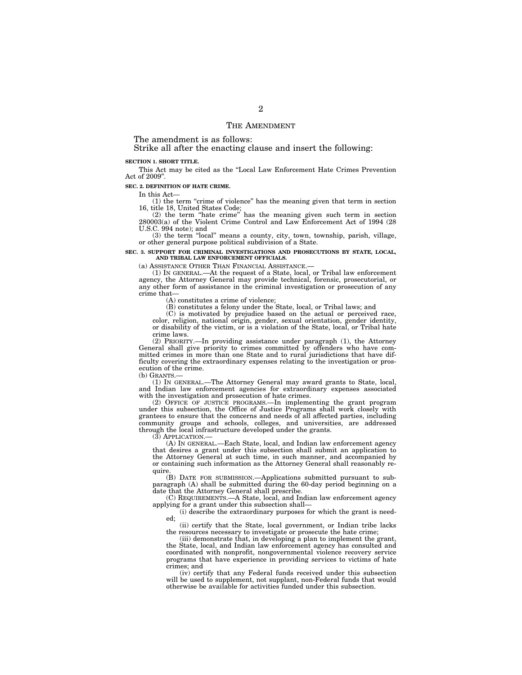#### THE AMENDMENT

The amendment is as follows:

Strike all after the enacting clause and insert the following:

#### **SECTION 1. SHORT TITLE.**

This Act may be cited as the ''Local Law Enforcement Hate Crimes Prevention Act of 2009''.

#### **SEC. 2. DEFINITION OF HATE CRIME.**

In this Act—

(1) the term "crime of violence" has the meaning given that term in section 16, title 18, United States Code;

(2) the term ''hate crime'' has the meaning given such term in section 280003(a) of the Violent Crime Control and Law Enforcement Act of 1994 (28 U.S.C. 994 note); and

(3) the term ''local'' means a county, city, town, township, parish, village, or other general purpose political subdivision of a State.

**SEC. 3. SUPPORT FOR CRIMINAL INVESTIGATIONS AND PROSECUTIONS BY STATE, LOCAL, AND TRIBAL LAW ENFORCEMENT OFFICIALS.** 

(a) ASSISTANCE OTHER THAN FINANCIAL ASSISTANCE.—

(1) IN GENERAL.—At the request of a State, local, or Tribal law enforcement agency, the Attorney General may provide technical, forensic, prosecutorial, or any other form of assistance in the criminal investigation or prosecution of any crime that—

(A) constitutes a crime of violence;

(B) constitutes a felony under the State, local, or Tribal laws; and

(C) is motivated by prejudice based on the actual or perceived race, color, religion, national origin, gender, sexual orientation, gender identity, or disability of the victim, or is a violation of the State, local, or Tribal hate crime laws.

(2) PRIORITY.—In providing assistance under paragraph (1), the Attorney General shall give priority to crimes committed by offenders who have committed crimes in more than one State and to rural jurisdictions that have difficulty covering the extraordinary expenses relating to the investigation or prosecution of the crime.

(b) GRANTS.—

(1) IN GENERAL.—The Attorney General may award grants to State, local, and Indian law enforcement agencies for extraordinary expenses associated with the investigation and prosecution of hate crimes.

(2) OFFICE OF JUSTICE PROGRAMS.—In implementing the grant program under this subsection, the Office of Justice Programs shall work closely with grantees to ensure that the concerns and needs of all affected parties, including community groups and schools, colleges, and universities, are addressed through the local infrastructure developed under the grants.

(3) APPLICATION.—

(A) IN GENERAL.—Each State, local, and Indian law enforcement agency that desires a grant under this subsection shall submit an application to the Attorney General at such time, in such manner, and accompanied by or containing such information as the Attorney General shall reasonably require.

(B) DATE FOR SUBMISSION.—Applications submitted pursuant to sub-paragraph (A) shall be submitted during the 60-day period beginning on a date that the Attorney General shall prescribe.

(C) REQUIREMENTS.—A State, local, and Indian law enforcement agency applying for a grant under this subsection shall—

(i) describe the extraordinary purposes for which the grant is needed;

(ii) certify that the State, local government, or Indian tribe lacks the resources necessary to investigate or prosecute the hate crime;

(iii) demonstrate that, in developing a plan to implement the grant, the State, local, and Indian law enforcement agency has consulted and coordinated with nonprofit, nongovernmental violence recovery service programs that have experience in providing services to victims of hate crimes; and

(iv) certify that any Federal funds received under this subsection will be used to supplement, not supplant, non-Federal funds that would otherwise be available for activities funded under this subsection.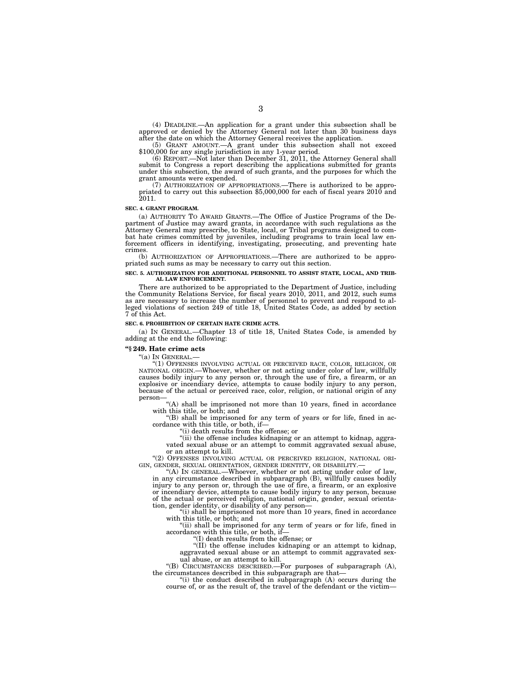(4) DEADLINE.—An application for a grant under this subsection shall be approved or denied by the Attorney General not later than 30 business days after the date on which the Attorney General receives the application.

(5) GRANT AMOUNT.—A grant under this subsection shall not exceed \$100,000 for any single jurisdiction in any 1-year period. (6) REPORT.—Not later than December 31, 2011, the Attorney General shall

submit to Congress a report describing the applications submitted for grants under this subsection, the award of such grants, and the purposes for which the

grant amounts were expended.<br>(7) AUTHORIZATION OF APPROPRIATIONS.—There is authorized to be appropriated to carry out this subsection \$5,000,000 for each of fiscal years 2010 and 2011.

#### **SEC. 4. GRANT PROGRAM.**

(a) AUTHORITY TO AWARD GRANTS.—The Office of Justice Programs of the Department of Justice may award grants, in accordance with such regulations as the Attorney General may prescribe, to State, local, or Tribal programs designed to combat hate crimes committed by juveniles, including programs to train local law enforcement officers in identifying, investigating, prosecuting, and preventing hate crimes.

(b) AUTHORIZATION OF APPROPRIATIONS.—There are authorized to be appropriated such sums as may be necessary to carry out this section.

#### **SEC. 5. AUTHORIZATION FOR ADDITIONAL PERSONNEL TO ASSIST STATE, LOCAL, AND TRIB-AL LAW ENFORCEMENT.**

There are authorized to be appropriated to the Department of Justice, including the Community Relations Service, for fiscal years 2010, 2011, and 2012, such sums as are necessary to increase the number of personnel to prevent and respond to alleged violations of section 249 of title 18, United States Code, as added by section 7 of this Act.

# **SEC. 6. PROHIBITION OF CERTAIN HATE CRIME ACTS.**

(a) IN GENERAL.—Chapter 13 of title 18, United States Code, is amended by adding at the end the following:

#### **''§ 249. Hate crime acts**

''(a) IN GENERAL.— ''(1) OFFENSES INVOLVING ACTUAL OR PERCEIVED RACE, COLOR, RELIGION, OR NATIONAL ORIGIN.—Whoever, whether or not acting under color of law, willfully causes bodily injury to any person or, through the use of fire, a firearm, or an explosive or incendiary device, attempts to cause bodily injury to any person, because of the actual or perceived race, color, religion, or national origin of any person—

''(A) shall be imprisoned not more than 10 years, fined in accordance with this title, or both; and

''(B) shall be imprisoned for any term of years or for life, fined in accordance with this title, or both, if—

''(i) death results from the offense; or

"(ii) the offense includes kidnaping or an attempt to kidnap, aggravated sexual abuse or an attempt to commit aggravated sexual abuse, or an attempt to kill.

''(2) OFFENSES INVOLVING ACTUAL OR PERCEIVED RELIGION, NATIONAL ORI- GIN, GENDER, SEXUAL ORIENTATION, GENDER IDENTITY, OR DISABILITY.— ''(A) IN GENERAL.—Whoever, whether or not acting under color of law,

in any circumstance described in subparagraph (B), willfully causes bodily injury to any person or, through the use of fire, a firearm, or an explosive or incendiary device, attempts to cause bodily injury to any person, because of the actual or perceived religion, national origin, gender, sexual orientation, gender identity, or disability of any person—

''(i) shall be imprisoned not more than 10 years, fined in accordance with this title, or both; and

''(ii) shall be imprisoned for any term of years or for life, fined in accordance with this title, or both, if—

''(I) death results from the offense; or

''(II) the offense includes kidnaping or an attempt to kidnap, aggravated sexual abuse or an attempt to commit aggravated sexual abuse, or an attempt to kill.

''(B) CIRCUMSTANCES DESCRIBED.—For purposes of subparagraph (A), the circumstances described in this subparagraph are that—

"(i) the conduct described in subparagraph (A) occurs during the course of, or as the result of, the travel of the defendant or the victim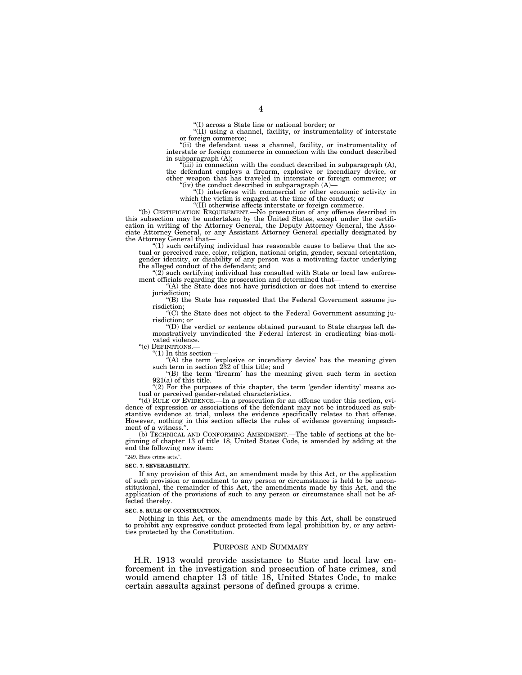''(I) across a State line or national border; or

''(II) using a channel, facility, or instrumentality of interstate or foreign commerce;

"(ii) the defendant uses a channel, facility, or instrumentality of interstate or foreign commerce in connection with the conduct described in subparagraph (A);

"(iii) in connection with the conduct described in subparagraph (A), the defendant employs a firearm, explosive or incendiary device, or other weapon that has traveled in interstate or foreign commerce; or "(iv) the conduct described in subparagraph (A)-

''(I) interferes with commercial or other economic activity in which the victim is engaged at the time of the conduct; or "(II) otherwise affects interstate or foreign commerce.

''(b) CERTIFICATION REQUIREMENT.—No prosecution of any offense described in this subsection may be undertaken by the United States, except under the certification in writing of the Attorney General, the Deputy Attorney General, the Asso-ciate Attorney General, or any Assistant Attorney General specially designated by the Attorney General that—<br>
"(1) such certifying individual has reasonable cause to believe that the ac-

tual or perceived race, color, religion, national origin, gender, sexual orientation, gender identity, or disability of any person was a motivating factor underlying the alleged conduct of the defendant; and

 $(2)$  such certifying individual has consulted with State or local law enforcement officials regarding the prosecution and determined that—<br>"(A) the State does not have jurisdiction or does not intend to exercise

jurisdiction;

''(B) the State has requested that the Federal Government assume jurisdiction;

''(C) the State does not object to the Federal Government assuming jurisdiction; or

''(D) the verdict or sentence obtained pursuant to State charges left de-monstratively unvindicated the Federal interest in eradicating bias-motivated violence.<br>"(c) DEFINITIONS.

" $(1)$  In this section-

(A) the term 'explosive or incendiary device' has the meaning given such term in section 232 of this title; and

''(B) the term 'firearm' has the meaning given such term in section  $921(a)$  of this title.

 $\mathcal{L}(2)$  For the purposes of this chapter, the term 'gender identity' means actual or perceived gender-related characteristics.

''(d) RULE OF EVIDENCE.—In a prosecution for an offense under this section, evidence of expression or associations of the defendant may not be introduced as substantive evidence at trial, unless the evidence specifically relates to that offense. However, nothing in this section affects the rules of evidence governing impeachment of a witness.

(b) TECHNICAL AND CONFORMING AMENDMENT.—The table of sections at the beginning of chapter 13 of title 18, United States Code, is amended by adding at the end the following new item:

#### "249. Hate crime acts."

#### **SEC. 7. SEVERABILITY.**

If any provision of this Act, an amendment made by this Act, or the application of such provision or amendment to any person or circumstance is held to be uncon-stitutional, the remainder of this Act, the amendments made by this Act, and the application of the provisions of such to any person or circumstance shall not be affected thereby.

#### **SEC. 8. RULE OF CONSTRUCTION.**

Nothing in this Act, or the amendments made by this Act, shall be construed to prohibit any expressive conduct protected from legal prohibition by, or any activities protected by the Constitution.

#### PURPOSE AND SUMMARY

H.R. 1913 would provide assistance to State and local law enforcement in the investigation and prosecution of hate crimes, and would amend chapter 13 of title 18, United States Code, to make certain assaults against persons of defined groups a crime.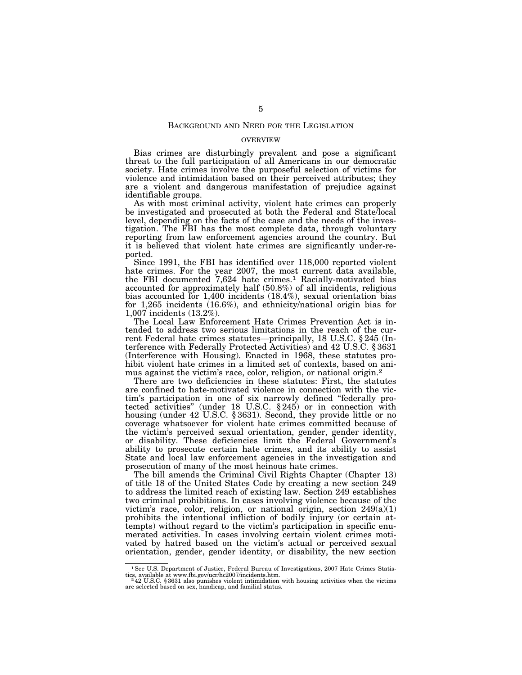#### BACKGROUND AND NEED FOR THE LEGISLATION

#### OVERVIEW

Bias crimes are disturbingly prevalent and pose a significant threat to the full participation of all Americans in our democratic society. Hate crimes involve the purposeful selection of victims for violence and intimidation based on their perceived attributes; they are a violent and dangerous manifestation of prejudice against identifiable groups.

As with most criminal activity, violent hate crimes can properly be investigated and prosecuted at both the Federal and State/local level, depending on the facts of the case and the needs of the investigation. The FBI has the most complete data, through voluntary reporting from law enforcement agencies around the country. But it is believed that violent hate crimes are significantly under-reported.

Since 1991, the FBI has identified over 118,000 reported violent hate crimes. For the year 2007, the most current data available, the FBI documented  $7,624$  hate crimes.<sup>1</sup> Racially-motivated bias accounted for approximately half (50.8%) of all incidents, religious bias accounted for 1,400 incidents (18.4%), sexual orientation bias for 1,265 incidents (16.6%), and ethnicity/national origin bias for 1,007 incidents (13.2%).

The Local Law Enforcement Hate Crimes Prevention Act is intended to address two serious limitations in the reach of the current Federal hate crimes statutes—principally, 18 U.S.C. § 245 (Interference with Federally Protected Activities) and 42 U.S.C. § 3631 (Interference with Housing). Enacted in 1968, these statutes prohibit violent hate crimes in a limited set of contexts, based on animus against the victim's race, color, religion, or national origin.<sup>2</sup>

There are two deficiencies in these statutes: First, the statutes are confined to hate-motivated violence in connection with the victim's participation in one of six narrowly defined ''federally protected activities'' (under 18 U.S.C. § 245) or in connection with housing (under 42 U.S.C. § 3631). Second, they provide little or no coverage whatsoever for violent hate crimes committed because of the victim's perceived sexual orientation, gender, gender identity, or disability. These deficiencies limit the Federal Government's ability to prosecute certain hate crimes, and its ability to assist State and local law enforcement agencies in the investigation and prosecution of many of the most heinous hate crimes.

The bill amends the Criminal Civil Rights Chapter (Chapter 13) of title 18 of the United States Code by creating a new section 249 to address the limited reach of existing law. Section 249 establishes two criminal prohibitions. In cases involving violence because of the victim's race, color, religion, or national origin, section 249(a)(1) prohibits the intentional infliction of bodily injury (or certain attempts) without regard to the victim's participation in specific enumerated activities. In cases involving certain violent crimes motivated by hatred based on the victim's actual or perceived sexual orientation, gender, gender identity, or disability, the new section

<sup>1</sup>See U.S. Department of Justice, Federal Bureau of Investigations, 2007 Hate Crimes Statis-

tics, available at www.fbi.gov/ucr/hc2007/incidents.htm.<br><sup>22</sup>42 U.S.C. § 3631 also punishes violent intimidation with housing activities when the victims<br>are selected based on sex, handicap, and familial status.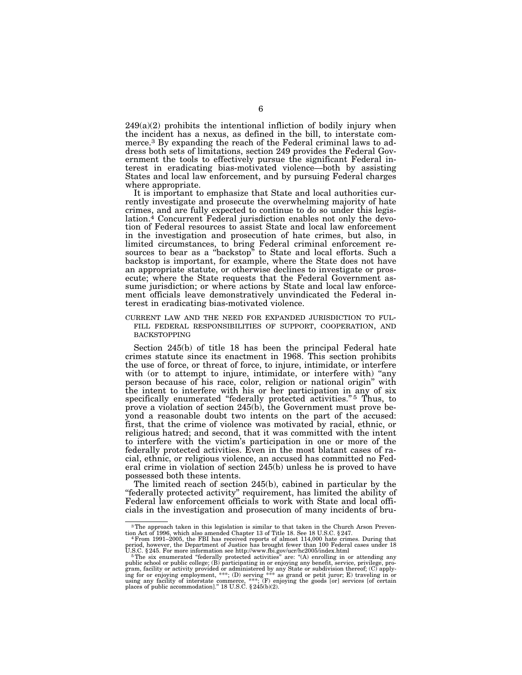$249(a)(2)$  prohibits the intentional infliction of bodily injury when the incident has a nexus, as defined in the bill, to interstate commerce.3 By expanding the reach of the Federal criminal laws to address both sets of limitations, section 249 provides the Federal Government the tools to effectively pursue the significant Federal interest in eradicating bias-motivated violence—both by assisting States and local law enforcement, and by pursuing Federal charges where appropriate.

It is important to emphasize that State and local authorities currently investigate and prosecute the overwhelming majority of hate crimes, and are fully expected to continue to do so under this legislation.4 Concurrent Federal jurisdiction enables not only the devotion of Federal resources to assist State and local law enforcement in the investigation and prosecution of hate crimes, but also, in limited circumstances, to bring Federal criminal enforcement resources to bear as a ''backstop'' to State and local efforts. Such a backstop is important, for example, where the State does not have an appropriate statute, or otherwise declines to investigate or prosecute; where the State requests that the Federal Government assume jurisdiction; or where actions by State and local law enforcement officials leave demonstratively unvindicated the Federal interest in eradicating bias-motivated violence.

CURRENT LAW AND THE NEED FOR EXPANDED JURISDICTION TO FUL-FILL FEDERAL RESPONSIBILITIES OF SUPPORT, COOPERATION, AND BACKSTOPPING

Section 245(b) of title 18 has been the principal Federal hate crimes statute since its enactment in 1968. This section prohibits the use of force, or threat of force, to injure, intimidate, or interfere with (or to attempt to injure, intimidate, or interfere with) ''any person because of his race, color, religion or national origin'' with the intent to interfere with his or her participation in any of six specifically enumerated "federally protected activities."<sup>5</sup> Thus, to prove a violation of section 245(b), the Government must prove beyond a reasonable doubt two intents on the part of the accused: first, that the crime of violence was motivated by racial, ethnic, or religious hatred; and second, that it was committed with the intent to interfere with the victim's participation in one or more of the federally protected activities. Even in the most blatant cases of racial, ethnic, or religious violence, an accused has committed no Federal crime in violation of section 245(b) unless he is proved to have possessed both these intents.

The limited reach of section 245(b), cabined in particular by the ''federally protected activity'' requirement, has limited the ability of Federal law enforcement officials to work with State and local officials in the investigation and prosecution of many incidents of bru-

<sup>&</sup>lt;sup>3</sup>The approach taken in this legislation is similar to that taken in the Church Arson Prevention Act of 1996, which also amended Chapter 13 of Title 18. See 18 U.S.C. § 247.

 $4$  From 1991–2005, the FBI has received reports of almost 114,000 hate crimes. During that eriod, however, the Department of Justice has brought fewer than 100 Federal cases under 18

period, however, the Department of Justice has brought fewer than 100 Federal cases under 18<br>U.S.C. § 245. For more information see http://www.fbi.gov/ucr/hc2005/index.html<br>The six enumerated "federally protected activiti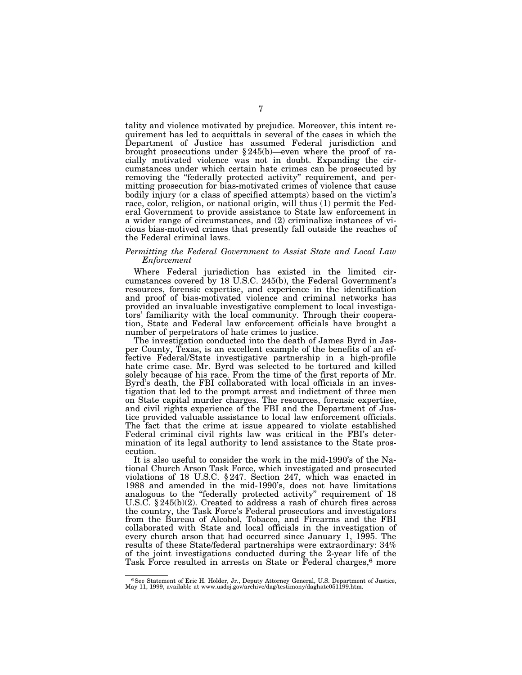tality and violence motivated by prejudice. Moreover, this intent requirement has led to acquittals in several of the cases in which the Department of Justice has assumed Federal jurisdiction and brought prosecutions under  $§245(b)$ —even where the proof of racially motivated violence was not in doubt. Expanding the circumstances under which certain hate crimes can be prosecuted by removing the "federally protected activity" requirement, and permitting prosecution for bias-motivated crimes of violence that cause bodily injury (or a class of specified attempts) based on the victim's race, color, religion, or national origin, will thus (1) permit the Federal Government to provide assistance to State law enforcement in a wider range of circumstances, and (2) criminalize instances of vicious bias-motived crimes that presently fall outside the reaches of the Federal criminal laws.

# *Permitting the Federal Government to Assist State and Local Law Enforcement*

Where Federal jurisdiction has existed in the limited circumstances covered by 18 U.S.C. 245(b), the Federal Government's resources, forensic expertise, and experience in the identification and proof of bias-motivated violence and criminal networks has provided an invaluable investigative complement to local investigators' familiarity with the local community. Through their cooperation, State and Federal law enforcement officials have brought a number of perpetrators of hate crimes to justice.

The investigation conducted into the death of James Byrd in Jasper County, Texas, is an excellent example of the benefits of an effective Federal/State investigative partnership in a high-profile hate crime case. Mr. Byrd was selected to be tortured and killed solely because of his race. From the time of the first reports of Mr. Byrd's death, the FBI collaborated with local officials in an investigation that led to the prompt arrest and indictment of three men on State capital murder charges. The resources, forensic expertise, and civil rights experience of the FBI and the Department of Justice provided valuable assistance to local law enforcement officials. The fact that the crime at issue appeared to violate established Federal criminal civil rights law was critical in the FBI's determination of its legal authority to lend assistance to the State prosecution.

It is also useful to consider the work in the mid-1990's of the National Church Arson Task Force, which investigated and prosecuted violations of 18 U.S.C. § 247. Section 247, which was enacted in 1988 and amended in the mid-1990's, does not have limitations analogous to the ''federally protected activity'' requirement of 18 U.S.C. § 245(b)(2). Created to address a rash of church fires across the country, the Task Force's Federal prosecutors and investigators from the Bureau of Alcohol, Tobacco, and Firearms and the FBI collaborated with State and local officials in the investigation of every church arson that had occurred since January 1, 1995. The results of these State/federal partnerships were extraordinary: 34% of the joint investigations conducted during the 2-year life of the Task Force resulted in arrests on State or Federal charges,<sup>6</sup> more

<sup>6</sup>See Statement of Eric H. Holder, Jr., Deputy Attorney General, U.S. Department of Justice, May 11, 1999, available at www.usdoj.gov/archive/dag/testimony/daghate051199.htm.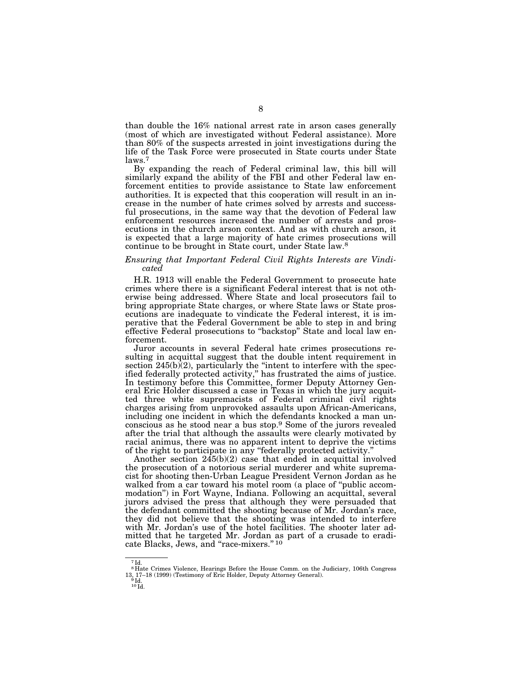than double the 16% national arrest rate in arson cases generally (most of which are investigated without Federal assistance). More than 80% of the suspects arrested in joint investigations during the life of the Task Force were prosecuted in State courts under State laws.7

By expanding the reach of Federal criminal law, this bill will similarly expand the ability of the FBI and other Federal law enforcement entities to provide assistance to State law enforcement authorities. It is expected that this cooperation will result in an increase in the number of hate crimes solved by arrests and successful prosecutions, in the same way that the devotion of Federal law enforcement resources increased the number of arrests and prosecutions in the church arson context. And as with church arson, it is expected that a large majority of hate crimes prosecutions will continue to be brought in State court, under State law.8

#### *Ensuring that Important Federal Civil Rights Interests are Vindicated*

H.R. 1913 will enable the Federal Government to prosecute hate crimes where there is a significant Federal interest that is not otherwise being addressed. Where State and local prosecutors fail to bring appropriate State charges, or where State laws or State prosecutions are inadequate to vindicate the Federal interest, it is imperative that the Federal Government be able to step in and bring effective Federal prosecutions to ''backstop'' State and local law enforcement.

Juror accounts in several Federal hate crimes prosecutions resulting in acquittal suggest that the double intent requirement in section 245(b)(2), particularly the "intent to interfere with the specified federally protected activity,'' has frustrated the aims of justice. In testimony before this Committee, former Deputy Attorney General Eric Holder discussed a case in Texas in which the jury acquitted three white supremacists of Federal criminal civil rights charges arising from unprovoked assaults upon African-Americans, including one incident in which the defendants knocked a man unconscious as he stood near a bus stop.9 Some of the jurors revealed after the trial that although the assaults were clearly motivated by racial animus, there was no apparent intent to deprive the victims of the right to participate in any ''federally protected activity.''

Another section 245(b)(2) case that ended in acquittal involved the prosecution of a notorious serial murderer and white supremacist for shooting then-Urban League President Vernon Jordan as he walked from a car toward his motel room (a place of "public accommodation'') in Fort Wayne, Indiana. Following an acquittal, several jurors advised the press that although they were persuaded that the defendant committed the shooting because of Mr. Jordan's race, they did not believe that the shooting was intended to interfere with Mr. Jordan's use of the hotel facilities. The shooter later admitted that he targeted Mr. Jordan as part of a crusade to eradicate Blacks, Jews, and "race-mixers."<sup>10</sup>

<sup>7</sup> Id. <sup>8</sup>Hate Crimes Violence, Hearings Before the House Comm. on the Judiciary, 106th Congress 13, 17–18 (1999) (Testimony of Eric Holder, Deputy Attorney General). 9 Id.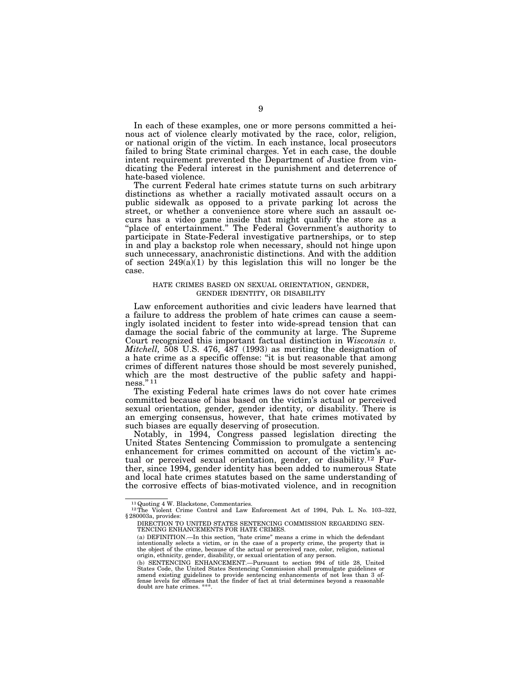In each of these examples, one or more persons committed a heinous act of violence clearly motivated by the race, color, religion, or national origin of the victim. In each instance, local prosecutors failed to bring State criminal charges. Yet in each case, the double intent requirement prevented the Department of Justice from vindicating the Federal interest in the punishment and deterrence of hate-based violence.

The current Federal hate crimes statute turns on such arbitrary distinctions as whether a racially motivated assault occurs on a public sidewalk as opposed to a private parking lot across the street, or whether a convenience store where such an assault occurs has a video game inside that might qualify the store as a "place of entertainment." The Federal Government's authority to participate in State-Federal investigative partnerships, or to step in and play a backstop role when necessary, should not hinge upon such unnecessary, anachronistic distinctions. And with the addition of section  $249(a)(1)$  by this legislation this will no longer be the case.

# HATE CRIMES BASED ON SEXUAL ORIENTATION, GENDER, GENDER IDENTITY, OR DISABILITY

Law enforcement authorities and civic leaders have learned that a failure to address the problem of hate crimes can cause a seemingly isolated incident to fester into wide-spread tension that can damage the social fabric of the community at large. The Supreme Court recognized this important factual distinction in *Wisconsin v. Mitchell,* 508 U.S. 476, 487 (1993) as meriting the designation of a hate crime as a specific offense: ''it is but reasonable that among crimes of different natures those should be most severely punished, which are the most destructive of the public safety and happi $ness.^{"11}$ 

The existing Federal hate crimes laws do not cover hate crimes committed because of bias based on the victim's actual or perceived sexual orientation, gender, gender identity, or disability. There is an emerging consensus, however, that hate crimes motivated by such biases are equally deserving of prosecution.

Notably, in 1994, Congress passed legislation directing the United States Sentencing Commission to promulgate a sentencing enhancement for crimes committed on account of the victim's actual or perceived sexual orientation, gender, or disability.12 Further, since 1994, gender identity has been added to numerous State and local hate crimes statutes based on the same understanding of the corrosive effects of bias-motivated violence, and in recognition

 $^{11}$  Quoting 4 W. Blackstone, Commentaries.  $^{12}$ The Violent Crime Control and Law Enforcement Act of 1994, Pub. L. No. 103–322, § 280003a, provides:

DIRECTION TO UNITED STATES SENTENCING COMMISSION REGARDING SEN-TENCING ENHANCEMENTS FOR HATE CRIMES.

<sup>(</sup>a) DEFINITION.—In this section, ''hate crime'' means a crime in which the defendant intentionally selects a victim, or in the case of a property crime, the property that is the crime, because of the actual or perceived race, color, religion, national origin, ational origin, ational origin, ethnicity, gend

<sup>(</sup>b) SENTENCING ENHANCEMENT.—Pursuant to section 994 of title 28, United States Code, the United States Sentencing Commission shall promulgate guidelines or amend existing guidelines to provide sentencing enhancements of not less than 3 of-fense levels for offenses that the finder of fact at trial determines beyond a reasonable doubt are hate crimes. \*\*\*.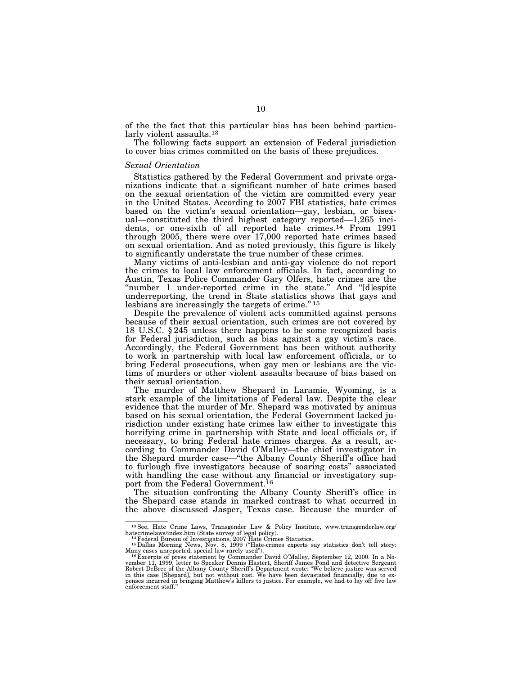of the the fact that this particular bias has been behind particularly violent assaults.13

The following facts support an extension of Federal jurisdiction to cover bias crimes committed on the basis of these prejudices.

#### *Sexual Orientation*

Statistics gathered by the Federal Government and private organizations indicate that a significant number of hate crimes based on the sexual orientation of the victim are committed every year in the United States. According to 2007 FBI statistics, hate crimes based on the victim's sexual orientation—gay, lesbian, or bisexual—constituted the third highest category reported—1,265 incidents, or one-sixth of all reported hate crimes.14 From 1991 through 2005, there were over 17,000 reported hate crimes based on sexual orientation. And as noted previously, this figure is likely to significantly understate the true number of these crimes.

Many victims of anti-lesbian and anti-gay violence do not report the crimes to local law enforcement officials. In fact, according to Austin, Texas Police Commander Gary Olfers, hate crimes are the "number 1 under-reported crime in the state." And "[d]espite underreporting, the trend in State statistics shows that gays and lesbians are increasingly the targets of crime."<sup>15</sup>

Despite the prevalence of violent acts committed against persons because of their sexual orientation, such crimes are not covered by 18 U.S.C. § 245 unless there happens to be some recognized basis for Federal jurisdiction, such as bias against a gay victim's race. Accordingly, the Federal Government has been without authority to work in partnership with local law enforcement officials, or to bring Federal prosecutions, when gay men or lesbians are the victims of murders or other violent assaults because of bias based on their sexual orientation.

The murder of Matthew Shepard in Laramie, Wyoming, is a stark example of the limitations of Federal law. Despite the clear evidence that the murder of Mr. Shepard was motivated by animus based on his sexual orientation, the Federal Government lacked jurisdiction under existing hate crimes law either to investigate this horrifying crime in partnership with State and local officials or, if necessary, to bring Federal hate crimes charges. As a result, according to Commander David O'Malley—the chief investigator in the Shepard murder case—''the Albany County Sheriff's office had to furlough five investigators because of soaring costs'' associated with handling the case without any financial or investigatory support from the Federal Government.<sup>16</sup>

The situation confronting the Albany County Sheriff's office in the Shepard case stands in marked contrast to what occurred in the above discussed Jasper, Texas case. Because the murder of

<sup>&</sup>lt;sup>13</sup>See, Hate Crime Laws, Transgender Law & Policy Institute, www.transgenderlaw.org/<br>hatecrimelaws/index.htm (State survey of legal policy).

hatecrimelaws.htm (State survey of Investigations, 2007 Hate Crimes Statistics.<br><sup>15</sup>Dallas Morning News, Nov. 8, 1999 ("Hate-crimes experts say statistics don't tell story:<br>Many cases unreported; special law rarely used").

Many cases unreported; special law rarely used").<br><sup>16</sup> Excerpts of press statement by Commander David O'Malley, September 12, 2000. In a No-<br>vember 11, 1999, letter to Speaker Dennis Hastert, Sheriff James Pond and detecti in this case [Shepard], but not without cost. We have been devastated financially, due to ex-penses incurred in bringing Matthew's killers to justice. For example, we had to lay off five law enforcement staff.''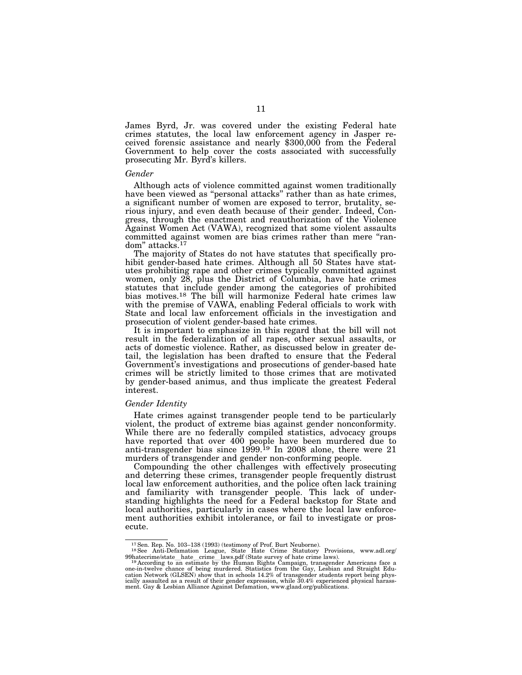James Byrd, Jr. was covered under the existing Federal hate crimes statutes, the local law enforcement agency in Jasper received forensic assistance and nearly \$300,000 from the Federal Government to help cover the costs associated with successfully prosecuting Mr. Byrd's killers.

#### *Gender*

Although acts of violence committed against women traditionally have been viewed as "personal attacks" rather than as hate crimes, a significant number of women are exposed to terror, brutality, serious injury, and even death because of their gender. Indeed, Congress, through the enactment and reauthorization of the Violence Against Women Act (VAWA), recognized that some violent assaults committed against women are bias crimes rather than mere ''random'' attacks.17

The majority of States do not have statutes that specifically prohibit gender-based hate crimes. Although all 50 States have statutes prohibiting rape and other crimes typically committed against women, only 28, plus the District of Columbia, have hate crimes statutes that include gender among the categories of prohibited bias motives.18 The bill will harmonize Federal hate crimes law with the premise of VAWA, enabling Federal officials to work with State and local law enforcement officials in the investigation and prosecution of violent gender-based hate crimes.

It is important to emphasize in this regard that the bill will not result in the federalization of all rapes, other sexual assaults, or acts of domestic violence. Rather, as discussed below in greater detail, the legislation has been drafted to ensure that the Federal Government's investigations and prosecutions of gender-based hate crimes will be strictly limited to those crimes that are motivated by gender-based animus, and thus implicate the greatest Federal interest.

# *Gender Identity*

Hate crimes against transgender people tend to be particularly violent, the product of extreme bias against gender nonconformity. While there are no federally compiled statistics, advocacy groups have reported that over 400 people have been murdered due to anti-transgender bias since 1999.<sup>19</sup> In 2008 alone, there were 21 murders of transgender and gender non-conforming people.

Compounding the other challenges with effectively prosecuting and deterring these crimes, transgender people frequently distrust local law enforcement authorities, and the police often lack training and familiarity with transgender people. This lack of understanding highlights the need for a Federal backstop for State and local authorities, particularly in cases where the local law enforcement authorities exhibit intolerance, or fail to investigate or prosecute.

<sup>&</sup>lt;sup>17</sup>Sen. Rep. No. 103–138 (1993) (testimony of Prof. Burt Neuborne).<br><sup>18</sup>See Anti-Defamation League, State Hate Crime Statutory Provisions, www.adl.org/

<sup>99</sup>hatecrime/state\_hate\_crime\_laws.pdf (State survey of hate crime laws).<br><sup>19</sup>According to an estimate by the Human Rights Campaign, transgender Americans face a<br>one-in-twelve chance of being murdered. Statistics from the G cation Network (GLSEN) show that in schools 14.2% of transgender students report being phys-<br>ically assaulted as a result of their gender expression, while 30.4% experienced physical harass-<br>ment. Gay & Lesbian Alliance Ag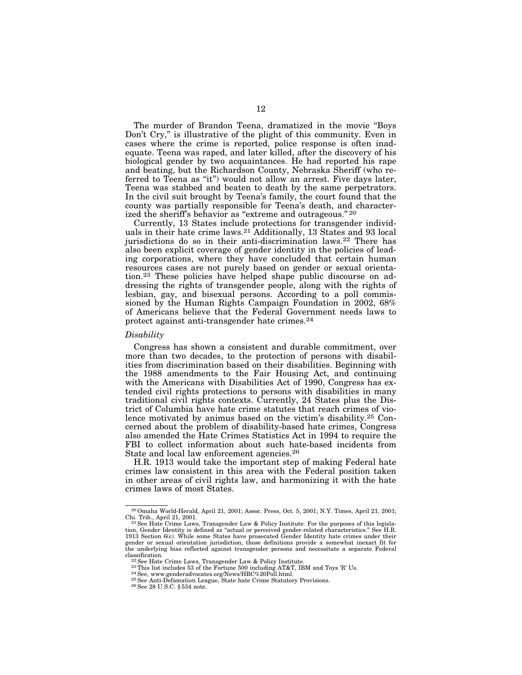The murder of Brandon Teena, dramatized in the movie "Boys Don't Cry," is illustrative of the plight of this community. Even in cases where the crime is reported, police response is often inadequate. Teena was raped, and later killed, after the discovery of his biological gender by two acquaintances. He had reported his rape and beating, but the Richardson County, Nebraska Sheriff (who referred to Teena as "it") would not allow an arrest. Five days later, Teena was stabbed and beaten to death by the same perpetrators. In the civil suit brought by Teena's family, the court found that the county was partially responsible for Teena's death, and characterized the sheriff's behavior as "extreme and outrageous." 20

Currently, 13 States include protections for transgender individuals in their hate crime laws.21 Additionally, 13 States and 93 local jurisdictions do so in their anti-discrimination laws.22 There has also been explicit coverage of gender identity in the policies of leading corporations, where they have concluded that certain human resources cases are not purely based on gender or sexual orientation.23 These policies have helped shape public discourse on addressing the rights of transgender people, along with the rights of lesbian, gay, and bisexual persons. According to a poll commissioned by the Human Rights Campaign Foundation in 2002, 68% of Americans believe that the Federal Government needs laws to protect against anti-transgender hate crimes.24

#### *Disability*

Congress has shown a consistent and durable commitment, over more than two decades, to the protection of persons with disabilities from discrimination based on their disabilities. Beginning with the 1988 amendments to the Fair Housing Act, and continuing with the Americans with Disabilities Act of 1990, Congress has extended civil rights protections to persons with disabilities in many traditional civil rights contexts. Currently, 24 States plus the District of Columbia have hate crime statutes that reach crimes of violence motivated by animus based on the victim's disability.25 Concerned about the problem of disability-based hate crimes, Congress also amended the Hate Crimes Statistics Act in 1994 to require the FBI to collect information about such hate-based incidents from State and local law enforcement agencies.26

H.R. 1913 would take the important step of making Federal hate crimes law consistent in this area with the Federal position taken in other areas of civil rights law, and harmonizing it with the hate crimes laws of most States.

 $^{20}$  Omaha World-Herald, April 21, 2001; Assoc. Press, Oct. 5, 2001; N.Y. Times, April 21, 2001; Chi. Trib., April 21, 2001.

Chi. Trib., April 21, 2001.<br><sup>21</sup>See Hate Crime Laws, Transgender Law & Policy Institute. For the purposes of this legisla-<br>tion, Gender Identity is defined as "actual or perceived gender-related characteristics." See H.R. 1913 Section 6(c). While some States have prosecuted Gender Identity hate crimes under their gender or sexual orientation jurisdiction, those definitions provide a somewhat inexact fit for the underlying bias reflected against transgender persons and necessitate a separate Federal

 $^{22}$  See Hate Crime Laws, Transgender Law & Policy Institute.  $^{23}$  This list includes 53 of the Fortune 500 including AT&T, IBM and Toys 'R' Us.  $^{24}$  See, www.genderadvocates.org/News/HRC%20Poll.html.  $^{25}$  See Ant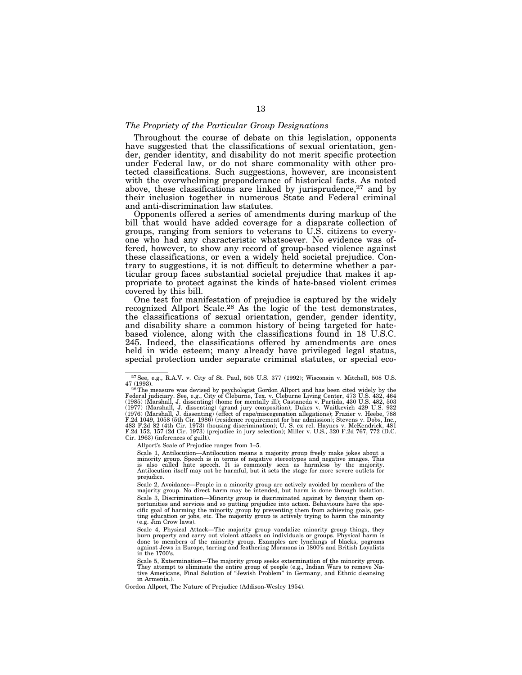# *The Propriety of the Particular Group Designations*

Throughout the course of debate on this legislation, opponents have suggested that the classifications of sexual orientation, gender, gender identity, and disability do not merit specific protection under Federal law, or do not share commonality with other protected classifications. Such suggestions, however, are inconsistent with the overwhelming preponderance of historical facts. As noted above, these classifications are linked by jurisprudence,<sup>27</sup> and by their inclusion together in numerous State and Federal criminal and anti-discrimination law statutes.

Opponents offered a series of amendments during markup of the bill that would have added coverage for a disparate collection of groups, ranging from seniors to veterans to U.S. citizens to everyone who had any characteristic whatsoever. No evidence was offered, however, to show any record of group-based violence against these classifications, or even a widely held societal prejudice. Contrary to suggestions, it is not difficult to determine whether a particular group faces substantial societal prejudice that makes it appropriate to protect against the kinds of hate-based violent crimes covered by this bill.

One test for manifestation of prejudice is captured by the widely recognized Allport Scale.28 As the logic of the test demonstrates, the classifications of sexual orientation, gender, gender identity, and disability share a common history of being targeted for hatebased violence, along with the classifications found in 18 U.S.C. 245. Indeed, the classifications offered by amendments are ones held in wide esteem; many already have privileged legal status, special protection under separate criminal statutes, or special eco-

Allport's Scale of Prejudice ranges from 1–5.

Scale 1, Antilocution—Antilocution means a majority group freely make jokes about a minority group. Speech is in terms of negative stereotypes and negative images. This is also called hate speech. It is commonly seen as ha prejudice.

Scale 2, Avoidance—People in a minority group are actively avoided by members of the majority group. No direct harm may be intended, but harm is done through isolation. Scale 3, Discrimination—Minority group is discriminated against by denying them op-<br>portunities and services and so putting prejudice into action. Behaviours have the spe-<br>cific goal of harming the minority group by preven ting education or jobs, etc. The majority group is actively trying to harm the minority (e.g. Jim Crow laws).

Scale 4, Physical Attack—The majority group vandalize minority group things, they burn property and carry out violent attacks on individuals or groups. Physical harm is done to members of the minority group. Examples are lynchings of blacks, pogroms against Jews in Europe, tarring and feathering Mormons in 1800's and British Loyalists in the 1700's.

Scale 5, Extermination—The majority group seeks extermination of the minority group. They attempt to eliminate the entire group of people (e.g., Indian Wars to remove Na-tive Americans, Final Solution of ''Jewish Problem'' in Germany, and Ethnic cleansing in Armenia.).

Gordon Allport, The Nature of Prejudice (Addison-Wesley 1954).

<sup>27</sup>See, e.g., R.A.V. v. City of St. Paul, 505 U.S. 377 (1992); Wisconsin v. Mitchell, 508 U.S. 47 (1993).<br><sup>28</sup>The measure was devised by psychologist Gordon Allport and has been cited widely by the

Federal judiciary. See, e.g., City of Cleburne, Tex. v. Cleburne Living Center, 473 U.S. 432, 464<br>(1985) (Marshall, J. dissenting) (home for mentally ill); Castaneda v. Partida, 430 U.S. 482, 503<br>(1977) (Marshall, J. disse F.2d 152, 157 (2d Cir. 1973) (prejudice in jury selection); Miller v. U.S., 320 F.2d 767, 772 (D.C. Cir. 1963) (inferences of guilt).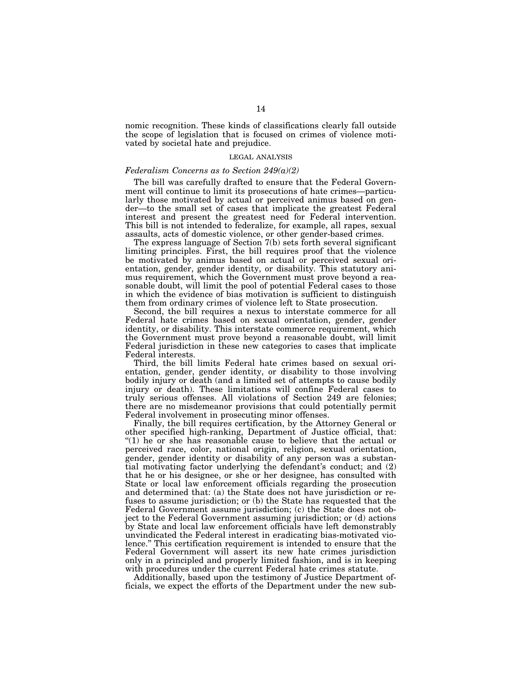nomic recognition. These kinds of classifications clearly fall outside the scope of legislation that is focused on crimes of violence motivated by societal hate and prejudice.

# LEGAL ANALYSIS

#### *Federalism Concerns as to Section 249(a)(2)*

The bill was carefully drafted to ensure that the Federal Government will continue to limit its prosecutions of hate crimes—particularly those motivated by actual or perceived animus based on gender—to the small set of cases that implicate the greatest Federal interest and present the greatest need for Federal intervention. This bill is not intended to federalize, for example, all rapes, sexual assaults, acts of domestic violence, or other gender-based crimes.

The express language of Section 7(b) sets forth several significant limiting principles. First, the bill requires proof that the violence be motivated by animus based on actual or perceived sexual orientation, gender, gender identity, or disability. This statutory animus requirement, which the Government must prove beyond a reasonable doubt, will limit the pool of potential Federal cases to those in which the evidence of bias motivation is sufficient to distinguish them from ordinary crimes of violence left to State prosecution.

Second, the bill requires a nexus to interstate commerce for all Federal hate crimes based on sexual orientation, gender, gender identity, or disability. This interstate commerce requirement, which the Government must prove beyond a reasonable doubt, will limit Federal jurisdiction in these new categories to cases that implicate Federal interests.

Third, the bill limits Federal hate crimes based on sexual orientation, gender, gender identity, or disability to those involving bodily injury or death (and a limited set of attempts to cause bodily injury or death). These limitations will confine Federal cases to truly serious offenses. All violations of Section 249 are felonies; there are no misdemeanor provisions that could potentially permit Federal involvement in prosecuting minor offenses.

Finally, the bill requires certification, by the Attorney General or other specified high-ranking, Department of Justice official, that: ''(1) he or she has reasonable cause to believe that the actual or perceived race, color, national origin, religion, sexual orientation, gender, gender identity or disability of any person was a substantial motivating factor underlying the defendant's conduct; and (2) that he or his designee, or she or her designee, has consulted with State or local law enforcement officials regarding the prosecution and determined that: (a) the State does not have jurisdiction or refuses to assume jurisdiction; or (b) the State has requested that the Federal Government assume jurisdiction; (c) the State does not object to the Federal Government assuming jurisdiction; or (d) actions by State and local law enforcement officials have left demonstrably unvindicated the Federal interest in eradicating bias-motivated violence.'' This certification requirement is intended to ensure that the Federal Government will assert its new hate crimes jurisdiction only in a principled and properly limited fashion, and is in keeping with procedures under the current Federal hate crimes statute.

Additionally, based upon the testimony of Justice Department officials, we expect the efforts of the Department under the new sub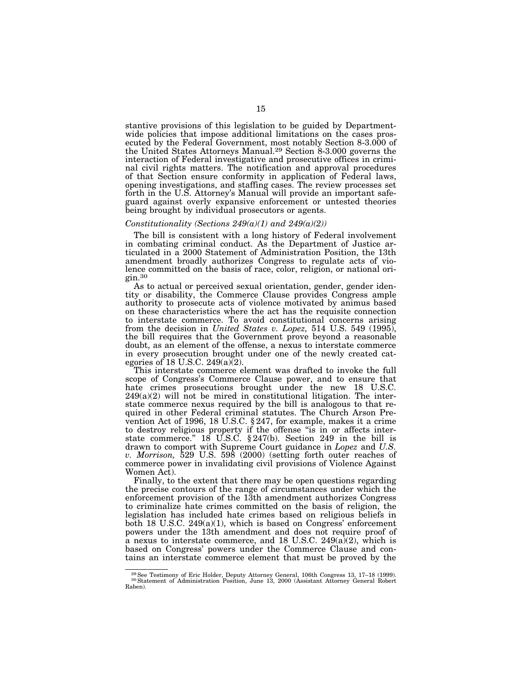stantive provisions of this legislation to be guided by Departmentwide policies that impose additional limitations on the cases prosecuted by the Federal Government, most notably Section 8-3.000 of the United States Attorneys Manual.29 Section 8-3.000 governs the interaction of Federal investigative and prosecutive offices in criminal civil rights matters. The notification and approval procedures of that Section ensure conformity in application of Federal laws, opening investigations, and staffing cases. The review processes set forth in the U.S. Attorney's Manual will provide an important safeguard against overly expansive enforcement or untested theories being brought by individual prosecutors or agents.

#### *Constitutionality (Sections 249(a)(1) and 249(a)(2))*

The bill is consistent with a long history of Federal involvement in combating criminal conduct. As the Department of Justice articulated in a 2000 Statement of Administration Position, the 13th amendment broadly authorizes Congress to regulate acts of violence committed on the basis of race, color, religion, or national origin.30

As to actual or perceived sexual orientation, gender, gender identity or disability, the Commerce Clause provides Congress ample authority to prosecute acts of violence motivated by animus based on these characteristics where the act has the requisite connection to interstate commerce. To avoid constitutional concerns arising from the decision in *United States v. Lopez,* 514 U.S. 549 (1995), the bill requires that the Government prove beyond a reasonable doubt, as an element of the offense, a nexus to interstate commerce in every prosecution brought under one of the newly created categories of 18 U.S.C.  $249(a)\overline{(2)}$ .

This interstate commerce element was drafted to invoke the full scope of Congress's Commerce Clause power, and to ensure that hate crimes prosecutions brought under the new 18 U.S.C.  $249(a)(2)$  will not be mired in constitutional litigation. The interstate commerce nexus required by the bill is analogous to that required in other Federal criminal statutes. The Church Arson Prevention Act of 1996, 18 U.S.C. § 247, for example, makes it a crime to destroy religious property if the offense ''is in or affects interstate commerce.'' 18 U.S.C. § 247(b). Section 249 in the bill is drawn to comport with Supreme Court guidance in *Lopez* and *U.S. v. Morrison,* 529 U.S. 598 (2000) (setting forth outer reaches of commerce power in invalidating civil provisions of Violence Against Women Act).

Finally, to the extent that there may be open questions regarding the precise contours of the range of circumstances under which the enforcement provision of the 13th amendment authorizes Congress to criminalize hate crimes committed on the basis of religion, the legislation has included hate crimes based on religious beliefs in both 18 U.S.C. 249(a)(1), which is based on Congress' enforcement powers under the 13th amendment and does not require proof of a nexus to interstate commerce, and 18 U.S.C. 249 $(a)(2)$ , which is based on Congress' powers under the Commerce Clause and contains an interstate commerce element that must be proved by the

 $^{29}\mathrm{See}$  Testimony of Eric Holder, Deputy Attorney General, 106th Congress 13, 17–18 (1999).  $^{30}\mathrm{Statement}$  of Administration Position, June 13, 2000 (Assistant Attorney General Robert Raben).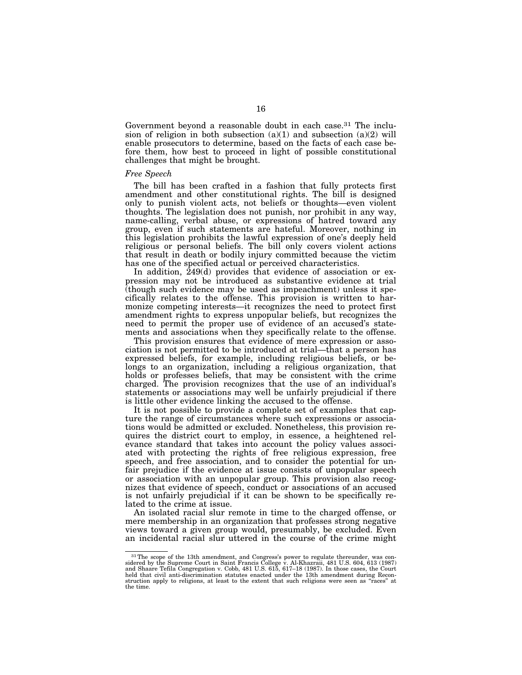Government beyond a reasonable doubt in each case.<sup>31</sup> The inclusion of religion in both subsection  $(a)(1)$  and subsection  $(a)(2)$  will enable prosecutors to determine, based on the facts of each case before them, how best to proceed in light of possible constitutional challenges that might be brought.

#### *Free Speech*

The bill has been crafted in a fashion that fully protects first amendment and other constitutional rights. The bill is designed only to punish violent acts, not beliefs or thoughts—even violent thoughts. The legislation does not punish, nor prohibit in any way, name-calling, verbal abuse, or expressions of hatred toward any group, even if such statements are hateful. Moreover, nothing in this legislation prohibits the lawful expression of one's deeply held religious or personal beliefs. The bill only covers violent actions that result in death or bodily injury committed because the victim has one of the specified actual or perceived characteristics.

In addition, 249(d) provides that evidence of association or expression may not be introduced as substantive evidence at trial (though such evidence may be used as impeachment) unless it specifically relates to the offense. This provision is written to harmonize competing interests—it recognizes the need to protect first amendment rights to express unpopular beliefs, but recognizes the need to permit the proper use of evidence of an accused's statements and associations when they specifically relate to the offense.

This provision ensures that evidence of mere expression or association is not permitted to be introduced at trial—that a person has expressed beliefs, for example, including religious beliefs, or belongs to an organization, including a religious organization, that holds or professes beliefs, that may be consistent with the crime charged. The provision recognizes that the use of an individual's statements or associations may well be unfairly prejudicial if there is little other evidence linking the accused to the offense.

It is not possible to provide a complete set of examples that capture the range of circumstances where such expressions or associations would be admitted or excluded. Nonetheless, this provision requires the district court to employ, in essence, a heightened relevance standard that takes into account the policy values associated with protecting the rights of free religious expression, free speech, and free association, and to consider the potential for unfair prejudice if the evidence at issue consists of unpopular speech or association with an unpopular group. This provision also recognizes that evidence of speech, conduct or associations of an accused is not unfairly prejudicial if it can be shown to be specifically related to the crime at issue.

An isolated racial slur remote in time to the charged offense, or mere membership in an organization that professes strong negative views toward a given group would, presumably, be excluded. Even an incidental racial slur uttered in the course of the crime might

 $^{31}$  The scope of the 13th amendment, and Congress's power to regulate the<br>reunder, was considered by the Supreme Court in Saint Francis College v. Al-Khazraii, 481 U.S. 604, 613 (1987)<br>and Shaare Tefila Congregation v. held that civil anti-discrimination statutes enacted under the 13th amendment during Recon-struction apply to religions, at least to the extent that such religions were seen as ''races'' at the time.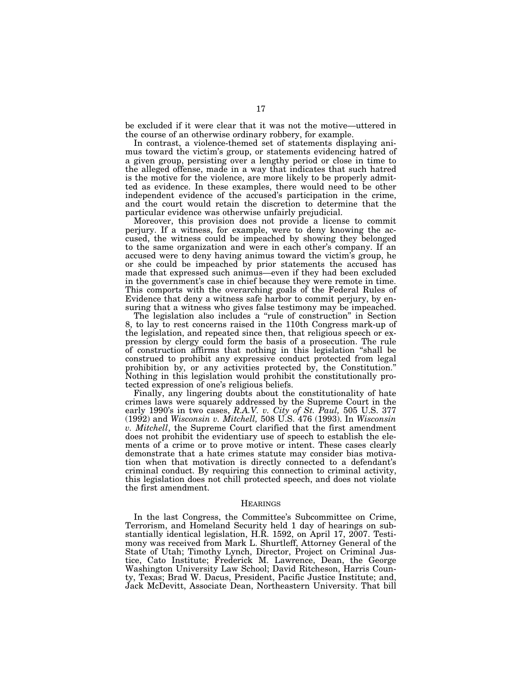be excluded if it were clear that it was not the motive—uttered in the course of an otherwise ordinary robbery, for example.

In contrast, a violence-themed set of statements displaying animus toward the victim's group, or statements evidencing hatred of a given group, persisting over a lengthy period or close in time to the alleged offense, made in a way that indicates that such hatred is the motive for the violence, are more likely to be properly admitted as evidence. In these examples, there would need to be other independent evidence of the accused's participation in the crime, and the court would retain the discretion to determine that the particular evidence was otherwise unfairly prejudicial.

Moreover, this provision does not provide a license to commit perjury. If a witness, for example, were to deny knowing the accused, the witness could be impeached by showing they belonged to the same organization and were in each other's company. If an accused were to deny having animus toward the victim's group, he or she could be impeached by prior statements the accused has made that expressed such animus—even if they had been excluded in the government's case in chief because they were remote in time. This comports with the overarching goals of the Federal Rules of Evidence that deny a witness safe harbor to commit perjury, by ensuring that a witness who gives false testimony may be impeached.

The legislation also includes a ''rule of construction'' in Section 8, to lay to rest concerns raised in the 110th Congress mark-up of the legislation, and repeated since then, that religious speech or expression by clergy could form the basis of a prosecution. The rule of construction affirms that nothing in this legislation ''shall be construed to prohibit any expressive conduct protected from legal prohibition by, or any activities protected by, the Constitution.'' Nothing in this legislation would prohibit the constitutionally protected expression of one's religious beliefs.

Finally, any lingering doubts about the constitutionality of hate crimes laws were squarely addressed by the Supreme Court in the early 1990's in two cases, *R.A.V. v. City of St. Paul,* 505 U.S. 377 (1992) and *Wisconsin v. Mitchell,* 508 U.S. 476 (1993). In *Wisconsin v. Mitchell*, the Supreme Court clarified that the first amendment does not prohibit the evidentiary use of speech to establish the elements of a crime or to prove motive or intent. These cases clearly demonstrate that a hate crimes statute may consider bias motivation when that motivation is directly connected to a defendant's criminal conduct. By requiring this connection to criminal activity, this legislation does not chill protected speech, and does not violate the first amendment.

#### **HEARINGS**

In the last Congress, the Committee's Subcommittee on Crime, Terrorism, and Homeland Security held 1 day of hearings on substantially identical legislation, H.R. 1592, on April 17, 2007. Testimony was received from Mark L. Shurtleff, Attorney General of the State of Utah; Timothy Lynch, Director, Project on Criminal Justice, Cato Institute; Frederick M. Lawrence, Dean, the George Washington University Law School; David Ritcheson, Harris County, Texas; Brad W. Dacus, President, Pacific Justice Institute; and, Jack McDevitt, Associate Dean, Northeastern University. That bill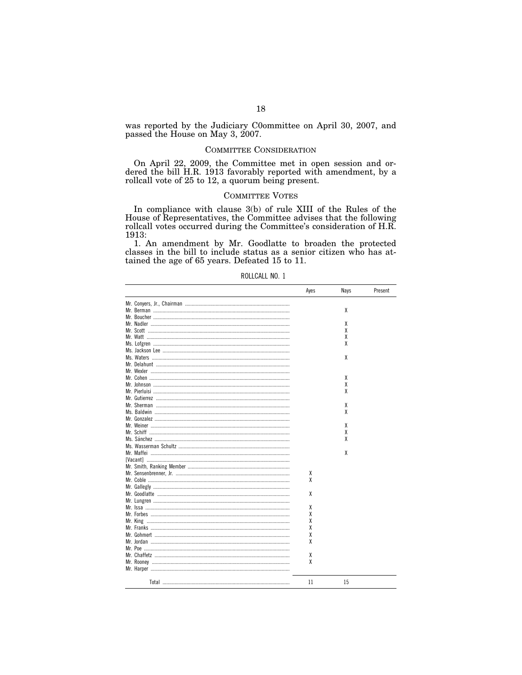was reported by the Judiciary C0ommittee on April 30, 2007, and passed the House on May 3, 2007.

# **COMMITTEE CONSIDERATION**

On April 22, 2009, the Committee met in open session and ordered the bill H.R. 1913 favorably reported with amendment, by a rollcall vote of 25 to 12, a quorum being present.

# **COMMITTEE VOTES**

In compliance with clause 3(b) of rule XIII of the Rules of the House of Representatives, the Committee advises that the following rollcall votes occurred during the Committee's consideration of H.R. 1913:

1. An amendment by Mr. Goodlatte to broaden the protected classes in the bill to include status as a senior citizen who has attained the age of 65 years. Defeated 15 to 11.

| ROLLCALL NO. 1 |  |  |
|----------------|--|--|
|                |  |  |

|                                       | Ayes | Nays | Present |
|---------------------------------------|------|------|---------|
|                                       |      |      |         |
|                                       |      | x    |         |
|                                       |      |      |         |
|                                       |      | χ    |         |
|                                       |      | χ    |         |
|                                       |      | χ    |         |
|                                       |      | χ    |         |
|                                       |      |      |         |
|                                       |      | χ    |         |
|                                       |      |      |         |
|                                       |      |      |         |
|                                       |      | χ    |         |
|                                       |      | χ    |         |
|                                       |      | χ    |         |
|                                       |      |      |         |
|                                       |      | χ    |         |
|                                       |      |      |         |
|                                       |      | χ    |         |
|                                       |      |      |         |
|                                       |      | χ    |         |
|                                       |      | χ    |         |
|                                       |      | χ    |         |
|                                       |      |      |         |
|                                       |      | X    |         |
|                                       |      |      |         |
|                                       |      |      |         |
|                                       | x    |      |         |
|                                       | χ    |      |         |
|                                       |      |      |         |
|                                       | x    |      |         |
|                                       |      |      |         |
|                                       | χ    |      |         |
|                                       | χ    |      |         |
|                                       | χ    |      |         |
|                                       | χ    |      |         |
|                                       | χ    |      |         |
|                                       | χ    |      |         |
|                                       |      |      |         |
|                                       | χ    |      |         |
|                                       | χ    |      |         |
|                                       |      |      |         |
|                                       |      |      |         |
| Total ………………………………………………………………………………… | 11   | 15   |         |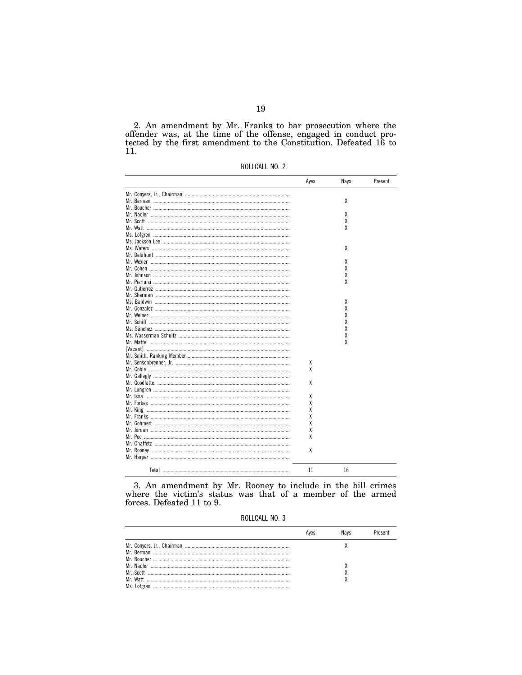2. An amendment by Mr. Franks to bar prosecution where the offender was, at the time of the offense, engaged in conduct protected by the first amendment to the Constitution. Defeated 16 to 11.

|  | ROLLCALL NO. 2 |  |
|--|----------------|--|
|  |                |  |

| Ayes | Nays   | Present |
|------|--------|---------|
|      |        |         |
|      | χ      |         |
|      |        |         |
|      | χ      |         |
|      | χ      |         |
|      | χ      |         |
|      |        |         |
|      |        |         |
|      | χ      |         |
|      |        |         |
|      | χ      |         |
|      | χ      |         |
|      | χ      |         |
|      | χ      |         |
|      |        |         |
|      |        |         |
|      | χ      |         |
|      | χ      |         |
|      | χ      |         |
|      | χ      |         |
|      |        |         |
|      | χ      |         |
|      | χ<br>χ |         |
|      |        |         |
|      |        |         |
|      |        |         |
| X    |        |         |
| X    |        |         |
|      |        |         |
| X    |        |         |
|      |        |         |
| χ    |        |         |
| X    |        |         |
| χ    |        |         |
| χ    |        |         |
| χ    |        |         |
| χ    |        |         |
| χ    |        |         |
|      |        |         |
| χ    |        |         |
|      |        |         |
| 11   | 16     |         |

3. An amendment by Mr. Rooney to include in the bill crimes where the victim's status was that of a member of the armed forces. Defeated 11 to 9.

| ROLLCALL NO. 3 |  |  |  |
|----------------|--|--|--|
|                |  |  |  |

| Mr Nadler |  |  |
|-----------|--|--|
|           |  |  |
|           |  |  |
|           |  |  |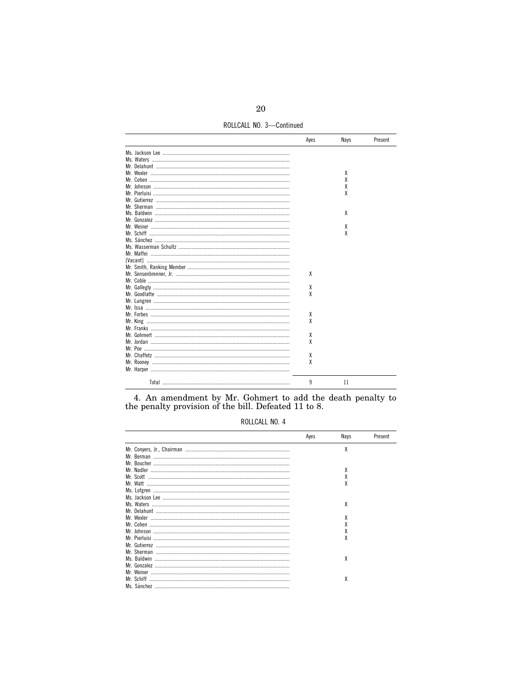ROLLCALL NO. 3-Continued

| Ayes   | Nays | Present |
|--------|------|---------|
|        |      |         |
|        |      |         |
|        |      |         |
|        | x    |         |
|        | χ    |         |
|        | χ    |         |
|        | χ    |         |
|        |      |         |
|        |      |         |
|        | x    |         |
|        |      |         |
|        | х    |         |
|        | χ    |         |
|        |      |         |
|        |      |         |
|        |      |         |
|        |      |         |
|        |      |         |
| χ      |      |         |
|        |      |         |
| X      |      |         |
| χ      |      |         |
|        |      |         |
|        |      |         |
|        |      |         |
| χ<br>χ |      |         |
|        |      |         |
|        |      |         |
| χ      |      |         |
| χ      |      |         |
|        |      |         |
| χ      |      |         |
| χ      |      |         |
|        |      |         |
| 9      | 11   |         |

4. An amendment by Mr. Gohmert to add the death penalty to the penalty provision of the bill. Defeated 11 to 8.

ROLLCALL NO. 4

| Ayes | Nays | Present |
|------|------|---------|
|      | χ    |         |
|      |      |         |
|      |      |         |
|      | χ    |         |
|      | χ    |         |
|      | χ    |         |
|      |      |         |
|      |      |         |
|      | χ    |         |
|      |      |         |
|      | χ    |         |
|      |      |         |
|      |      |         |
|      | χ    |         |
|      |      |         |
|      |      |         |
|      | χ    |         |
|      |      |         |
|      |      |         |
|      | χ    |         |
|      |      |         |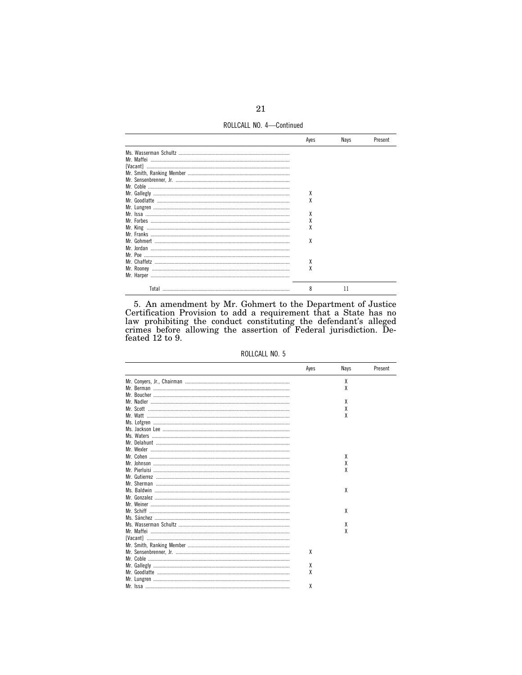ROLLCALL NO. 4-Continued

| Aves | Navs | Present |
|------|------|---------|
|      |      |         |
|      |      |         |
|      |      |         |
|      |      |         |
|      |      |         |
|      |      |         |
| χ    |      |         |
|      |      |         |
|      |      |         |
|      |      |         |
|      |      |         |
| χ    |      |         |
|      |      |         |
| X    |      |         |
|      |      |         |
|      |      |         |
| χ    |      |         |
| X    |      |         |
|      |      |         |
|      |      |         |
| 8    |      |         |

5. An amendment by Mr. Gohmert to the Department of Justice Certification Provision to add a requirement that a State has no law prohibiting the conduct constituting the defendant's alleged crimes before allowing the asser feated 12 to 9.

|  |  | ROLLCALL NO. 5 |  |  |
|--|--|----------------|--|--|
|--|--|----------------|--|--|

| Ayes | Nays | Present |
|------|------|---------|
|      | х    |         |
|      | x    |         |
|      |      |         |
|      | x    |         |
|      | χ    |         |
|      | χ    |         |
|      |      |         |
|      |      |         |
|      |      |         |
|      |      |         |
|      |      |         |
|      | χ    |         |
|      | x    |         |
|      | χ    |         |
|      |      |         |
|      |      |         |
|      | X    |         |
|      |      |         |
|      |      |         |
|      | х    |         |
|      |      |         |
|      | x    |         |
|      | χ    |         |
|      |      |         |
|      |      |         |
| χ    |      |         |
|      |      |         |
| χ    |      |         |
| χ    |      |         |
|      |      |         |
| X    |      |         |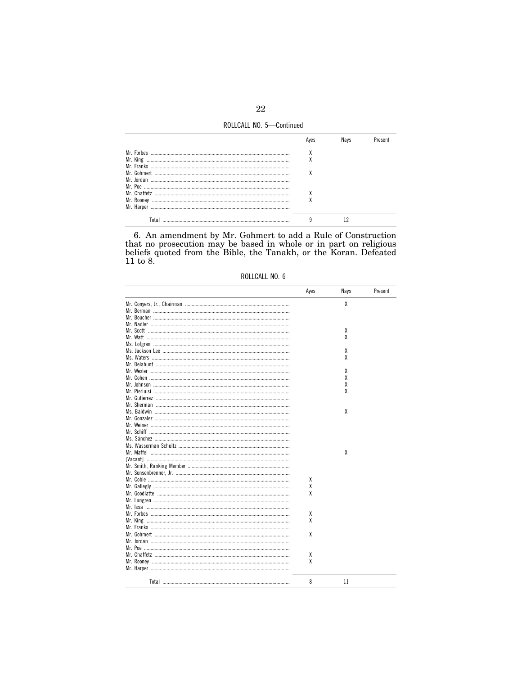ROLLCALL NO. 5-Continued

| Mr. Forbes   |  |  |
|--------------|--|--|
| Mr. King     |  |  |
| Mr. Franks   |  |  |
| Mr. Gohmert  |  |  |
|              |  |  |
|              |  |  |
| Mr. Chaffetz |  |  |
| Mr. Roonev   |  |  |
| Mr. Harper   |  |  |
| r∩tء         |  |  |

6. An amendment by Mr. Gohmert to add a Rule of Construction that no prosecution may be based in whole or in part on religious beliefs quoted from the Bible, the Tanakh, or the Koran. Defeated 11 to 8.

| ROLLCALL NO. 6 |  |
|----------------|--|
|                |  |

|                                      | Ayes | Nays | Present |
|--------------------------------------|------|------|---------|
|                                      |      | χ    |         |
|                                      |      |      |         |
|                                      |      |      |         |
|                                      |      |      |         |
|                                      |      | χ    |         |
|                                      |      | χ    |         |
|                                      |      |      |         |
|                                      |      | χ    |         |
|                                      |      | χ    |         |
|                                      |      |      |         |
|                                      |      | χ    |         |
|                                      |      | χ    |         |
|                                      |      | χ    |         |
|                                      |      | χ    |         |
|                                      |      |      |         |
|                                      |      |      |         |
|                                      |      | x    |         |
|                                      |      |      |         |
|                                      |      |      |         |
|                                      |      |      |         |
|                                      |      |      |         |
|                                      |      |      |         |
|                                      |      |      |         |
|                                      |      | χ    |         |
|                                      |      |      |         |
|                                      |      |      |         |
|                                      |      |      |         |
|                                      | χ    |      |         |
|                                      | χ    |      |         |
|                                      | χ    |      |         |
|                                      |      |      |         |
|                                      |      |      |         |
|                                      | x    |      |         |
|                                      | X    |      |         |
|                                      |      |      |         |
|                                      | χ    |      |         |
|                                      |      |      |         |
|                                      |      |      |         |
|                                      | χ    |      |         |
|                                      | χ    |      |         |
|                                      |      |      |         |
|                                      |      |      |         |
| Total ……………………………………………………………………………… | 8    | 11   |         |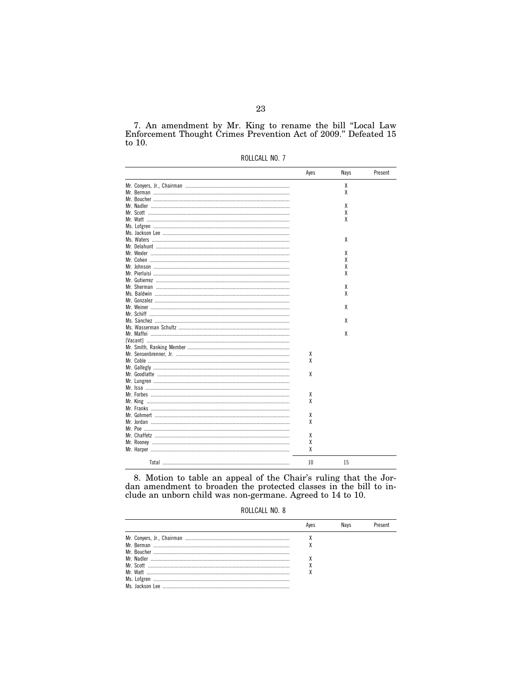7. An amendment by Mr. King to rename the bill "Local Law Enforcement Thought Crimes Prevention Act of 2009." Defeated 15 to 10.

| ROLLCALL NO. 7 |  |
|----------------|--|
|                |  |

|                                              | Ayes | Nays | Present |
|----------------------------------------------|------|------|---------|
|                                              |      | χ    |         |
|                                              |      | χ    |         |
|                                              |      |      |         |
|                                              |      | χ    |         |
|                                              |      | χ    |         |
|                                              |      | χ    |         |
|                                              |      |      |         |
|                                              |      |      |         |
|                                              |      | χ    |         |
|                                              |      |      |         |
|                                              |      | χ    |         |
|                                              |      | χ    |         |
|                                              |      | χ    |         |
|                                              |      | χ    |         |
|                                              |      |      |         |
|                                              |      | χ    |         |
|                                              |      | χ    |         |
|                                              |      |      |         |
|                                              |      | χ    |         |
|                                              |      |      |         |
|                                              |      | χ    |         |
|                                              |      |      |         |
|                                              |      | χ    |         |
| [Vacant] …………………………………………………………………………………………… |      |      |         |
|                                              |      |      |         |
|                                              | χ    |      |         |
|                                              | χ    |      |         |
|                                              |      |      |         |
|                                              | χ    |      |         |
|                                              |      |      |         |
|                                              |      |      |         |
|                                              | χ    |      |         |
|                                              | χ    |      |         |
|                                              |      |      |         |
|                                              | χ    |      |         |
|                                              | χ    |      |         |
|                                              |      |      |         |
|                                              | χ    |      |         |
|                                              | χ    |      |         |
|                                              | χ    |      |         |
|                                              | 10   | 15   |         |

8. Motion to table an appeal of the Chair's ruling that the Jordan amendment to broaden the protected classes in the bill to include an unborn child was non-germane. Agreed to 14 to 10.

| ROLLCALL NO. 8 |  |
|----------------|--|

|  | <b>Navs</b> | Present |
|--|-------------|---------|
|  |             |         |
|  |             |         |
|  |             |         |
|  |             |         |
|  |             |         |
|  |             |         |
|  |             |         |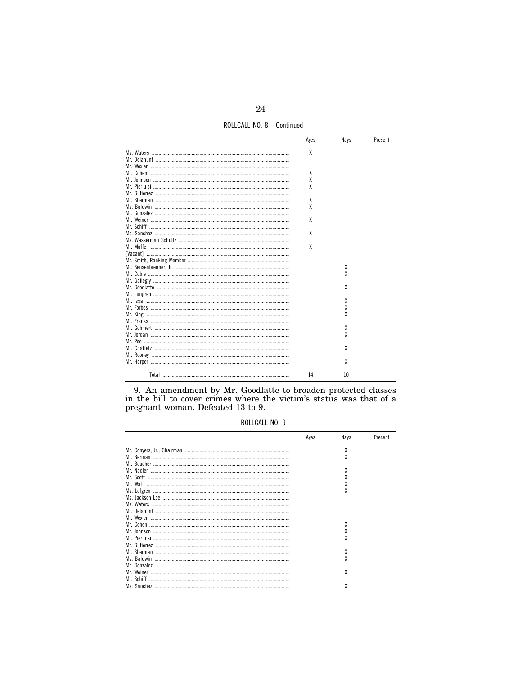ROLLCALL NO. 8-Continued

|                                       | Ayes | Nays | Present |
|---------------------------------------|------|------|---------|
|                                       | X    |      |         |
|                                       |      |      |         |
|                                       |      |      |         |
|                                       | χ    |      |         |
|                                       | χ    |      |         |
|                                       | χ    |      |         |
|                                       |      |      |         |
|                                       | χ    |      |         |
|                                       | X    |      |         |
|                                       |      |      |         |
|                                       | X    |      |         |
|                                       |      |      |         |
|                                       | X    |      |         |
|                                       |      |      |         |
|                                       | X    |      |         |
|                                       |      |      |         |
|                                       |      |      |         |
|                                       |      | x    |         |
|                                       |      | χ    |         |
|                                       |      |      |         |
|                                       |      | χ    |         |
|                                       |      |      |         |
|                                       |      | χ    |         |
|                                       |      | χ    |         |
|                                       |      | χ    |         |
|                                       |      |      |         |
|                                       |      | χ    |         |
|                                       |      | χ    |         |
|                                       |      |      |         |
|                                       |      | χ    |         |
|                                       |      |      |         |
|                                       |      | x    |         |
| Total ………………………………………………………………………………… | 14   | 10   |         |

9. An amendment by Mr. Goodlatte to broaden protected classes in the bill to cover crimes where the victim's status was that of a pregnant woman. Defeated 13 to 9.

ROLLCALL NO. 9

| Ayes | Nays | Present |
|------|------|---------|
|      | χ    |         |
|      | χ    |         |
|      |      |         |
|      | χ    |         |
|      |      |         |
|      |      |         |
|      | χ    |         |
|      |      |         |
|      |      |         |
|      |      |         |
|      |      |         |
|      | χ    |         |
|      | χ    |         |
|      |      |         |
|      |      |         |
|      | χ    |         |
|      | X    |         |
|      |      |         |
|      | χ    |         |
|      |      |         |
|      |      |         |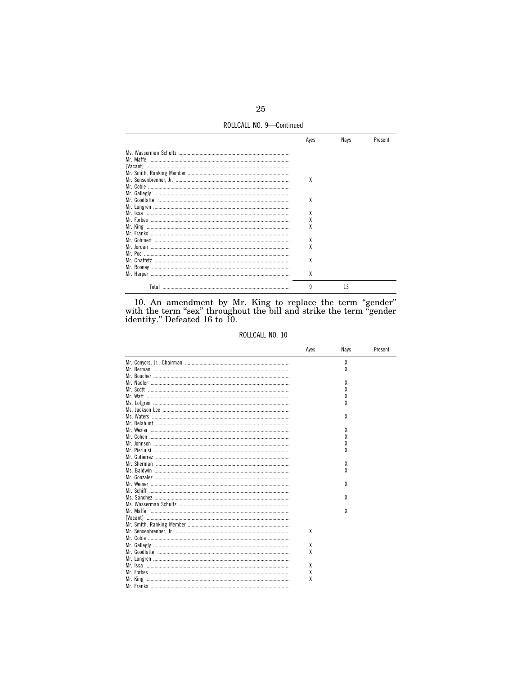ROLLCALL NO. 9-Continued

|   | Navs | Present |
|---|------|---------|
|   |      |         |
|   |      |         |
|   |      |         |
|   |      |         |
| χ |      |         |
|   |      |         |
|   |      |         |
| χ |      |         |
|   |      |         |
|   |      |         |
|   |      |         |
| χ |      |         |
|   |      |         |
|   |      |         |
| χ |      |         |
|   |      |         |
|   |      |         |
| χ |      |         |
|   |      |         |
| χ |      |         |
| 9 | 13   |         |

10. An amendment by Mr. King to replace the term "gender" with the term "sex" throughout the bill and strike the term "gender identity." Defeated 16 to 10.

| ROLLCALL NO. 10 |  |
|-----------------|--|
|-----------------|--|

| Ayes | Nays | Present |
|------|------|---------|
|      | χ    |         |
|      | χ    |         |
|      |      |         |
|      | χ    |         |
|      | χ    |         |
|      | χ    |         |
|      | χ    |         |
|      |      |         |
|      | χ    |         |
|      |      |         |
|      | χ    |         |
|      | x    |         |
|      | χ    |         |
|      | χ    |         |
|      |      |         |
|      | χ    |         |
|      | χ    |         |
|      |      |         |
|      | χ    |         |
|      |      |         |
|      | x    |         |
|      |      |         |
|      |      |         |
|      | χ    |         |
|      |      |         |
|      |      |         |
| X    |      |         |
|      |      |         |
| X    |      |         |
| X    |      |         |
|      |      |         |
| X    |      |         |
| χ    |      |         |
| χ    |      |         |
|      |      |         |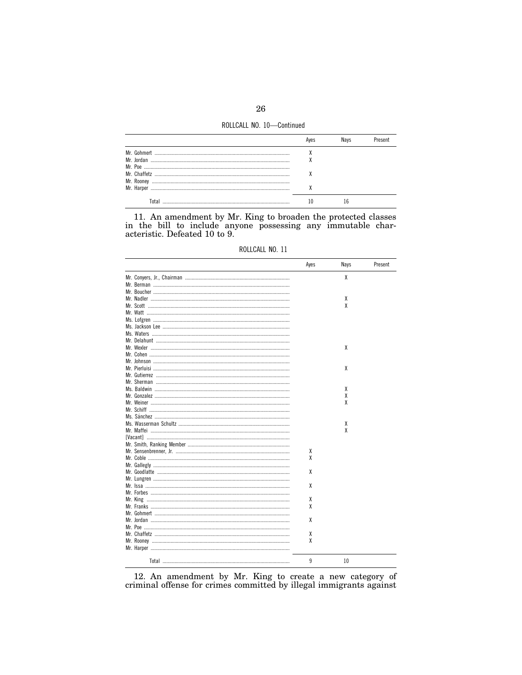ROLLCALL NO. 10-Continued

| Mr Gohmert  |  |  |
|-------------|--|--|
| Mr lordan   |  |  |
|             |  |  |
| Mr Chaffetz |  |  |
| Mr. Rooney  |  |  |
| Mr. Harner  |  |  |
|             |  |  |

11. An amendment by Mr. King to broaden the protected classes in the bill to include anyone possessing any immutable characteristic. Defeated 10 to 9.

| ROLLCALL NO. 11 |  |
|-----------------|--|
|                 |  |

|                                              | Ayes | Nays | Present |
|----------------------------------------------|------|------|---------|
|                                              |      | х    |         |
|                                              |      |      |         |
|                                              |      |      |         |
|                                              |      | X    |         |
|                                              |      | χ    |         |
|                                              |      |      |         |
|                                              |      |      |         |
|                                              |      |      |         |
|                                              |      |      |         |
|                                              |      |      |         |
|                                              |      | х    |         |
|                                              |      |      |         |
|                                              |      |      |         |
|                                              |      |      |         |
|                                              |      | χ    |         |
|                                              |      |      |         |
|                                              |      |      |         |
|                                              |      | x    |         |
|                                              |      | χ    |         |
|                                              |      | χ    |         |
|                                              |      |      |         |
|                                              |      |      |         |
|                                              |      | χ    |         |
|                                              |      | χ    |         |
| [Vacant] …………………………………………………………………………………………… |      |      |         |
|                                              |      |      |         |
|                                              | χ    |      |         |
|                                              | X    |      |         |
|                                              |      |      |         |
|                                              | χ    |      |         |
|                                              |      |      |         |
|                                              | X    |      |         |
|                                              |      |      |         |
|                                              | χ    |      |         |
|                                              | χ    |      |         |
|                                              |      |      |         |
|                                              | X    |      |         |
|                                              |      |      |         |
|                                              | χ    |      |         |
|                                              | χ    |      |         |
|                                              |      |      |         |
|                                              |      |      |         |
|                                              | 9    | 10   |         |

 $12.$  An amendment by Mr. King to create a new category of criminal offense for crimes committed by illegal immigrants against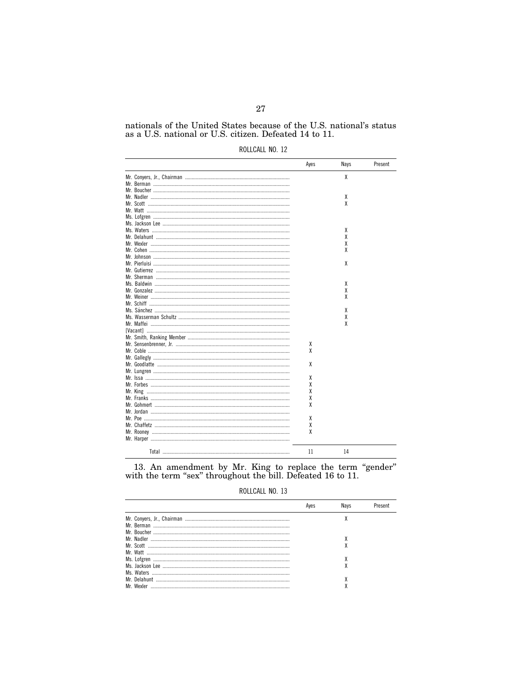nationals of the United States because of the U.S. national's status as a U.S. national or U.S. citizen. Defeated  $14$  to  $11.$ 

| ROLLCALL NO. 12 |  |  |  |
|-----------------|--|--|--|
|                 |  |  |  |

|                                      | Ayes | Nays | Present |
|--------------------------------------|------|------|---------|
|                                      |      | χ    |         |
|                                      |      |      |         |
|                                      |      |      |         |
|                                      |      | χ    |         |
|                                      |      | χ    |         |
|                                      |      |      |         |
|                                      |      |      |         |
|                                      |      |      |         |
|                                      |      | χ    |         |
|                                      |      | χ    |         |
|                                      |      | χ    |         |
|                                      |      | x    |         |
|                                      |      |      |         |
|                                      |      | χ    |         |
|                                      |      |      |         |
|                                      |      |      |         |
|                                      |      | χ    |         |
|                                      |      | X    |         |
|                                      |      | χ    |         |
|                                      |      |      |         |
|                                      |      | x    |         |
|                                      |      | χ    |         |
|                                      |      | χ    |         |
|                                      |      |      |         |
|                                      |      |      |         |
|                                      | χ    |      |         |
|                                      | χ    |      |         |
|                                      |      |      |         |
|                                      | χ    |      |         |
|                                      |      |      |         |
|                                      |      |      |         |
|                                      | χ    |      |         |
|                                      | χ    |      |         |
|                                      | χ    |      |         |
|                                      | χ    |      |         |
|                                      | X    |      |         |
|                                      |      |      |         |
|                                      | χ    |      |         |
|                                      | χ    |      |         |
|                                      | χ    |      |         |
|                                      |      |      |         |
| Total ……………………………………………………………………………… | 11   | 14   |         |

13. An amendment by Mr. King to replace the term "gender" with the term "sex" throughout the bill. Defeated 16 to 11.

ROLLCALL NO. 13

|                     | Navs | Presen |
|---------------------|------|--------|
|                     |      |        |
|                     |      |        |
|                     |      |        |
| Mr. Nadler          |      |        |
| $Mr. \text{ Scott}$ |      |        |
| Mr Watt             |      |        |
|                     |      |        |
|                     |      |        |
|                     |      |        |
| Mr Delahunt         |      |        |
| Mr Wexler           |      |        |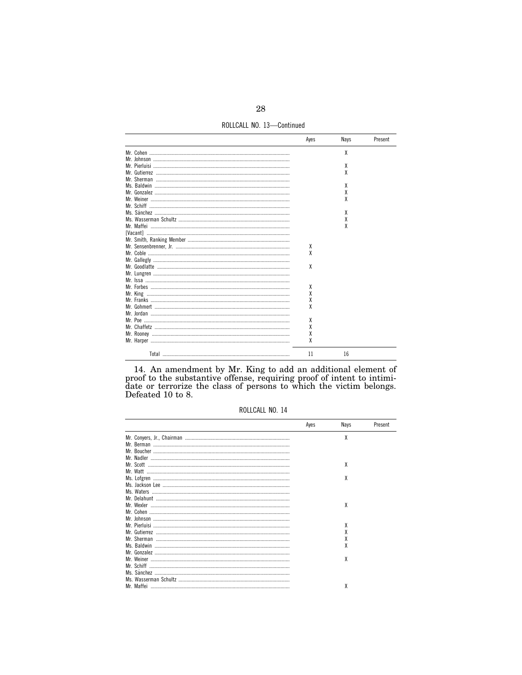ROLLCALL NO. 13-Continued

| Ayes | Nays | Present |
|------|------|---------|
|      | х    |         |
|      |      |         |
|      | x    |         |
|      | χ    |         |
|      |      |         |
|      | χ    |         |
|      | χ    |         |
|      |      |         |
|      |      |         |
|      | X    |         |
|      | χ    |         |
|      | χ    |         |
|      |      |         |
|      |      |         |
| X    |      |         |
| X    |      |         |
|      |      |         |
| X    |      |         |
|      |      |         |
|      |      |         |
| χ    |      |         |
| χ    |      |         |
| χ    |      |         |
| χ    |      |         |
|      |      |         |
| χ    |      |         |
| χ    |      |         |
| χ    |      |         |
| χ    |      |         |
|      |      |         |
| 11   | 16   |         |

14. An amendment by Mr. King to add an additional element of proof to the substantive offense, requiring proof of intent to intimidate or terrorize the class of persons to which the victim belongs. Defeated 10 to 8.

| ROLLCALL NO. 14 |  |
|-----------------|--|
|-----------------|--|

| Ayes | Nays | Present |
|------|------|---------|
|      | χ    |         |
|      |      |         |
|      |      |         |
|      |      |         |
|      | χ    |         |
|      |      |         |
|      | χ    |         |
|      |      |         |
|      |      |         |
|      |      |         |
|      | χ    |         |
|      |      |         |
|      |      |         |
|      | χ    |         |
|      |      |         |
|      |      |         |
|      | χ    |         |
|      |      |         |
|      | χ    |         |
|      |      |         |
|      |      |         |
|      |      |         |
|      | χ    |         |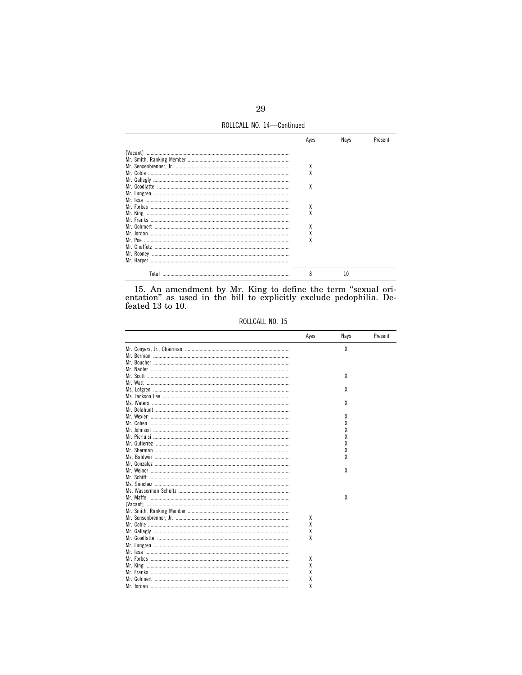ROLLCALL NO. 14-Continued

| Aves | <b>Navs</b> | Present |
|------|-------------|---------|
|      |             |         |
|      |             |         |
|      |             |         |
|      |             |         |
|      |             |         |
| χ    |             |         |
|      |             |         |
|      |             |         |
|      |             |         |
|      |             |         |
|      |             |         |
|      |             |         |
|      |             |         |
|      |             |         |
|      |             |         |
|      |             |         |
|      |             |         |
| 8    | 10          |         |

15. An amendment by Mr. King to define the term "sexual orientation" as used in the bill to explicitly exclude pedophilia. Defeated 13 to 10.

ROLLCALL NO. 15

| Aves | Nays | Present |
|------|------|---------|
|      | х    |         |
|      |      |         |
|      |      |         |
|      |      |         |
|      | X    |         |
|      |      |         |
|      | x    |         |
|      |      |         |
|      | x    |         |
|      |      |         |
|      | χ    |         |
|      | χ    |         |
|      | χ    |         |
|      | χ    |         |
|      | x    |         |
|      | χ    |         |
|      | χ    |         |
|      |      |         |
|      | X    |         |
|      |      |         |
|      |      |         |
|      |      |         |
|      | χ    |         |
|      |      |         |
|      |      |         |
|      |      |         |
| χ    |      |         |
| χ    |      |         |
| χ    |      |         |
| χ    |      |         |
|      |      |         |
|      |      |         |
| χ    |      |         |
| χ    |      |         |
| χ    |      |         |
| χ    |      |         |
| χ    |      |         |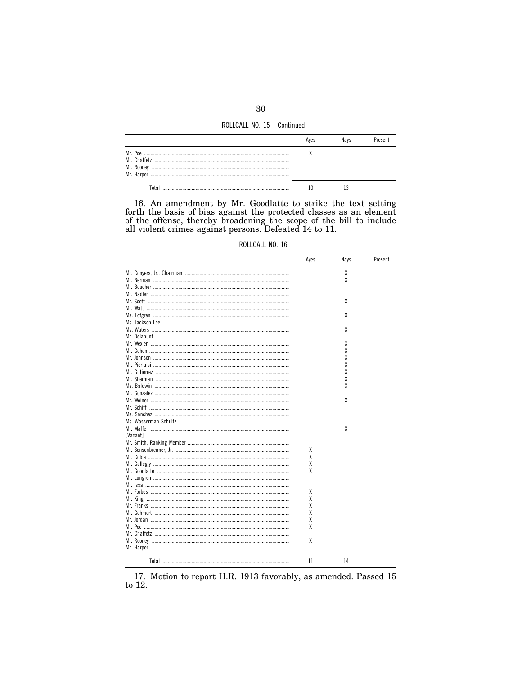ROLLCALL NO. 15-Continued

| Mr Poe<br>Mr Chaffetz<br>Mr. Rooney<br>Mr. Harper |  |  |
|---------------------------------------------------|--|--|
| $T0+0$                                            |  |  |

 $16.$  An amendment by Mr. Goodlatte to strike the text setting forth the basis of bias against the protected classes as an element of the offense, thereby broadening the scope of the bill to include all violent crimes aga

| ROLLCALL NO. 16 |  |
|-----------------|--|
|                 |  |

|                                              | Ayes | Nays | Present |
|----------------------------------------------|------|------|---------|
|                                              |      | χ    |         |
|                                              |      | χ    |         |
|                                              |      |      |         |
|                                              |      |      |         |
|                                              |      | χ    |         |
|                                              |      |      |         |
|                                              |      | х    |         |
|                                              |      |      |         |
|                                              |      | χ    |         |
|                                              |      |      |         |
|                                              |      | χ    |         |
|                                              |      | χ    |         |
|                                              |      | χ    |         |
|                                              |      | χ    |         |
|                                              |      | χ    |         |
|                                              |      | χ    |         |
|                                              |      | χ    |         |
|                                              |      |      |         |
|                                              |      | χ    |         |
|                                              |      |      |         |
|                                              |      |      |         |
|                                              |      |      |         |
|                                              |      | χ    |         |
| [Vacant] …………………………………………………………………………………………… |      |      |         |
|                                              |      |      |         |
|                                              | χ    |      |         |
|                                              | χ    |      |         |
|                                              | χ    |      |         |
|                                              | χ    |      |         |
|                                              |      |      |         |
|                                              |      |      |         |
|                                              | χ    |      |         |
|                                              | χ    |      |         |
|                                              | χ    |      |         |
|                                              | χ    |      |         |
|                                              | χ    |      |         |
|                                              | χ    |      |         |
|                                              |      |      |         |
|                                              | χ    |      |         |
|                                              |      |      |         |
|                                              |      |      |         |
|                                              | 11   | 14   |         |

17. Motion to report H.R. 1913 favorably, as amended. Passed 15 to 12.  $\,$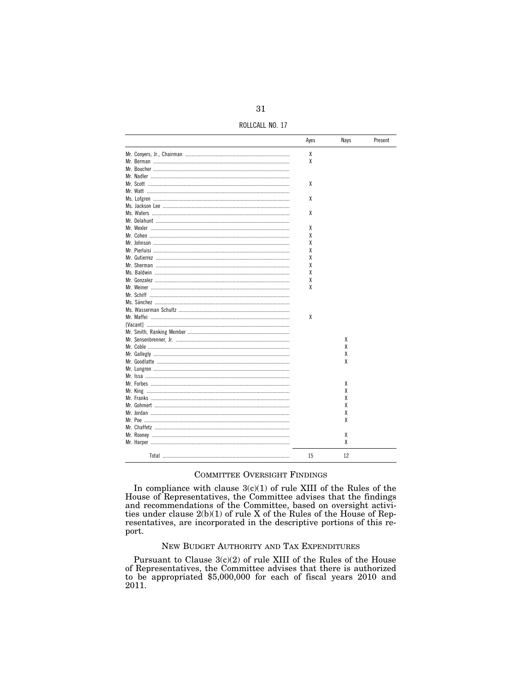ROLLCALL NO. 17

|                                              | Ayes | Nays | Present |
|----------------------------------------------|------|------|---------|
|                                              | χ    |      |         |
|                                              | χ    |      |         |
|                                              |      |      |         |
|                                              |      |      |         |
|                                              | χ    |      |         |
|                                              |      |      |         |
|                                              | χ    |      |         |
|                                              |      |      |         |
|                                              | χ    |      |         |
|                                              |      |      |         |
|                                              | χ    |      |         |
|                                              | χ    |      |         |
|                                              | χ    |      |         |
|                                              | χ    |      |         |
|                                              | χ    |      |         |
|                                              | χ    |      |         |
|                                              | χ    |      |         |
|                                              | χ    |      |         |
|                                              | χ    |      |         |
|                                              |      |      |         |
|                                              |      |      |         |
|                                              |      |      |         |
|                                              | χ    |      |         |
| [Vacant] …………………………………………………………………………………………… |      |      |         |
|                                              |      |      |         |
|                                              |      | χ    |         |
|                                              |      | χ    |         |
|                                              |      | χ    |         |
|                                              |      | χ    |         |
|                                              |      |      |         |
|                                              |      |      |         |
|                                              |      | χ    |         |
|                                              |      | χ    |         |
|                                              |      | χ    |         |
|                                              |      | χ    |         |
|                                              |      | χ    |         |
|                                              |      | χ    |         |
|                                              |      |      |         |
|                                              |      | χ    |         |
|                                              |      | χ    |         |
|                                              | 15   | 12   |         |

# **COMMITTEE OVERSIGHT FINDINGS**

In compliance with clause  $3(c)(1)$  of rule XIII of the Rules of the House of Representatives, the Committee advises that the findings and recommendations of the Committee, based on oversight activities under clause  $2(b)(1)$  of rule X of the Rules of the House of Representatives, are incorporated in the descriptive portions of this report.

# NEW BUDGET AUTHORITY AND TAX EXPENDITURES

Pursuant to Clause  $3(c)(2)$  of rule XIII of the Rules of the House<br>of Representatives, the Committee advises that there is authorized<br>to be appropriated \$5,000,000 for each of fiscal years 2010 and 2011.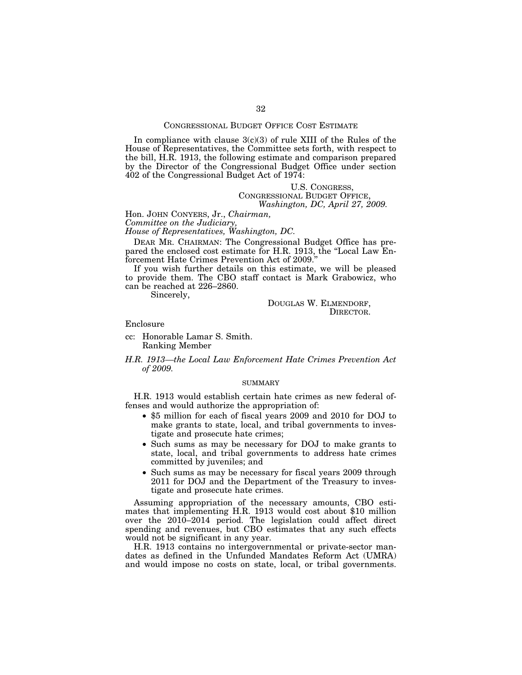# CONGRESSIONAL BUDGET OFFICE COST ESTIMATE

In compliance with clause  $3(c)(3)$  of rule XIII of the Rules of the House of Representatives, the Committee sets forth, with respect to the bill, H.R. 1913, the following estimate and comparison prepared by the Director of the Congressional Budget Office under section 402 of the Congressional Budget Act of 1974:

# U.S. CONGRESS, CONGRESSIONAL BUDGET OFFICE, *Washington, DC, April 27, 2009.*

Hon. JOHN CONYERS, Jr., *Chairman,* 

*Committee on the Judiciary,* 

*House of Representatives, Washington, DC.* 

DEAR MR. CHAIRMAN: The Congressional Budget Office has prepared the enclosed cost estimate for H.R. 1913, the "Local Law Enforcement Hate Crimes Prevention Act of 2009.''

If you wish further details on this estimate, we will be pleased to provide them. The CBO staff contact is Mark Grabowicz, who can be reached at 226–2860.

Sincerely,

DOUGLAS W. ELMENDORF, DIRECTOR.

Enclosure

cc: Honorable Lamar S. Smith. Ranking Member

# *H.R. 1913—the Local Law Enforcement Hate Crimes Prevention Act of 2009.*

#### SUMMARY

H.R. 1913 would establish certain hate crimes as new federal offenses and would authorize the appropriation of:

- \$5 million for each of fiscal years 2009 and 2010 for DOJ to make grants to state, local, and tribal governments to investigate and prosecute hate crimes;
- Such sums as may be necessary for DOJ to make grants to state, local, and tribal governments to address hate crimes committed by juveniles; and
- Such sums as may be necessary for fiscal years 2009 through 2011 for DOJ and the Department of the Treasury to investigate and prosecute hate crimes.

Assuming appropriation of the necessary amounts, CBO estimates that implementing H.R. 1913 would cost about \$10 million over the 2010–2014 period. The legislation could affect direct spending and revenues, but CBO estimates that any such effects would not be significant in any year.

H.R. 1913 contains no intergovernmental or private-sector mandates as defined in the Unfunded Mandates Reform Act (UMRA) and would impose no costs on state, local, or tribal governments.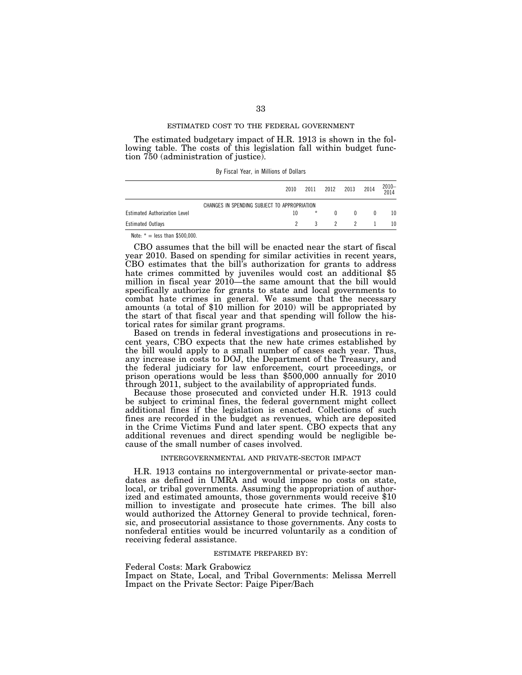# ESTIMATED COST TO THE FEDERAL GOVERNMENT

The estimated budgetary impact of H.R. 1913 is shown in the following table. The costs of this legislation fall within budget function 750 (administration of justice).

By Fiscal Year, in Millions of Dollars

|                               | 2010                                         |         |              | 2011 2012 2013 | 2014         | $2010 - 2014$ |
|-------------------------------|----------------------------------------------|---------|--------------|----------------|--------------|---------------|
|                               | CHANGES IN SPENDING SUBJECT TO APPROPRIATION |         |              |                |              |               |
| Estimated Authorization Level | 10                                           | $\star$ | $\mathsf{U}$ | $\Omega$       | $\Omega$     | 10            |
| <b>Estimated Outlays</b>      |                                              |         |              | $3 \t 2 \t 2$  | $\mathbf{1}$ | 10            |

Note:  $* =$  less than \$500,000.

CBO assumes that the bill will be enacted near the start of fiscal year 2010. Based on spending for similar activities in recent years, CBO estimates that the bill's authorization for grants to address hate crimes committed by juveniles would cost an additional \$5 million in fiscal year 2010—the same amount that the bill would specifically authorize for grants to state and local governments to combat hate crimes in general. We assume that the necessary amounts (a total of \$10 million for 2010) will be appropriated by the start of that fiscal year and that spending will follow the historical rates for similar grant programs.

Based on trends in federal investigations and prosecutions in recent years, CBO expects that the new hate crimes established by the bill would apply to a small number of cases each year. Thus, any increase in costs to DOJ, the Department of the Treasury, and the federal judiciary for law enforcement, court proceedings, or prison operations would be less than \$500,000 annually for 2010 through 2011, subject to the availability of appropriated funds.

Because those prosecuted and convicted under H.R. 1913 could be subject to criminal fines, the federal government might collect additional fines if the legislation is enacted. Collections of such fines are recorded in the budget as revenues, which are deposited in the Crime Victims Fund and later spent. CBO expects that any additional revenues and direct spending would be negligible because of the small number of cases involved.

#### INTERGOVERNMENTAL AND PRIVATE-SECTOR IMPACT

H.R. 1913 contains no intergovernmental or private-sector mandates as defined in UMRA and would impose no costs on state, local, or tribal governments. Assuming the appropriation of authorized and estimated amounts, those governments would receive \$10 million to investigate and prosecute hate crimes. The bill also would authorized the Attorney General to provide technical, forensic, and prosecutorial assistance to those governments. Any costs to nonfederal entities would be incurred voluntarily as a condition of receiving federal assistance.

#### ESTIMATE PREPARED BY:

Federal Costs: Mark Grabowicz

Impact on State, Local, and Tribal Governments: Melissa Merrell Impact on the Private Sector: Paige Piper/Bach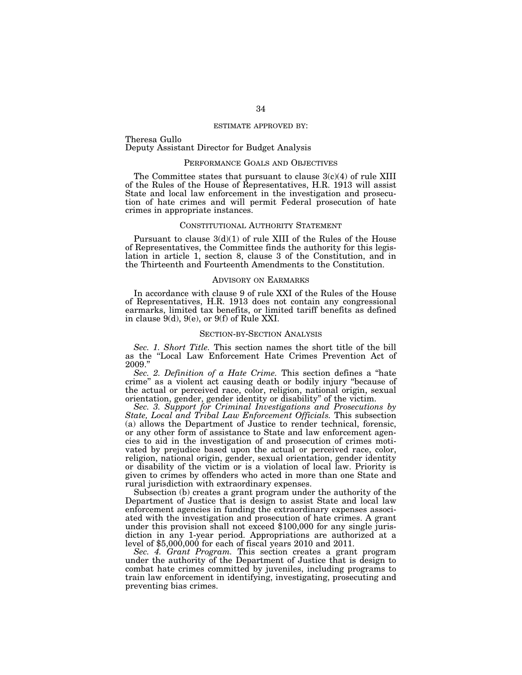#### ESTIMATE APPROVED BY:

# Theresa Gullo Deputy Assistant Director for Budget Analysis

#### PERFORMANCE GOALS AND OBJECTIVES

The Committee states that pursuant to clause  $3(c)(4)$  of rule XIII of the Rules of the House of Representatives, H.R. 1913 will assist State and local law enforcement in the investigation and prosecution of hate crimes and will permit Federal prosecution of hate crimes in appropriate instances.

# CONSTITUTIONAL AUTHORITY STATEMENT

Pursuant to clause 3(d)(1) of rule XIII of the Rules of the House of Representatives, the Committee finds the authority for this legislation in article 1, section 8, clause 3 of the Constitution, and in the Thirteenth and Fourteenth Amendments to the Constitution.

#### ADVISORY ON EARMARKS

In accordance with clause 9 of rule XXI of the Rules of the House of Representatives, H.R. 1913 does not contain any congressional earmarks, limited tax benefits, or limited tariff benefits as defined in clause 9(d), 9(e), or 9(f) of Rule XXI.

# SECTION-BY-SECTION ANALYSIS

*Sec. 1. Short Title.* This section names the short title of the bill as the ''Local Law Enforcement Hate Crimes Prevention Act of 2009.''

*Sec. 2. Definition of a Hate Crime.* This section defines a ''hate crime'' as a violent act causing death or bodily injury ''because of the actual or perceived race, color, religion, national origin, sexual orientation, gender, gender identity or disability'' of the victim.

*Sec. 3. Support for Criminal Investigations and Prosecutions by State, Local and Tribal Law Enforcement Officials.* This subsection (a) allows the Department of Justice to render technical, forensic, or any other form of assistance to State and law enforcement agencies to aid in the investigation of and prosecution of crimes motivated by prejudice based upon the actual or perceived race, color, religion, national origin, gender, sexual orientation, gender identity or disability of the victim or is a violation of local law. Priority is given to crimes by offenders who acted in more than one State and rural jurisdiction with extraordinary expenses.

Subsection (b) creates a grant program under the authority of the Department of Justice that is design to assist State and local law enforcement agencies in funding the extraordinary expenses associated with the investigation and prosecution of hate crimes. A grant under this provision shall not exceed \$100,000 for any single jurisdiction in any 1-year period. Appropriations are authorized at a level of  $$5,000,000$  for each of fiscal years 2010 and 2011.

*Sec. 4. Grant Program.* This section creates a grant program under the authority of the Department of Justice that is design to combat hate crimes committed by juveniles, including programs to train law enforcement in identifying, investigating, prosecuting and preventing bias crimes.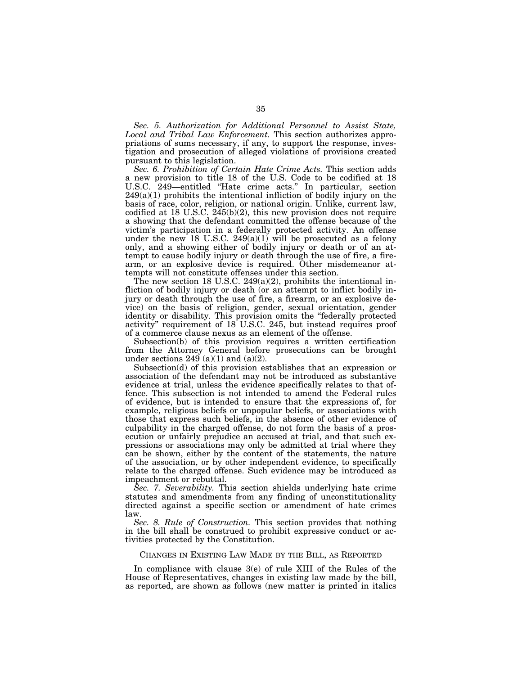*Sec. 5. Authorization for Additional Personnel to Assist State, Local and Tribal Law Enforcement.* This section authorizes appropriations of sums necessary, if any, to support the response, investigation and prosecution of alleged violations of provisions created pursuant to this legislation.

*Sec. 6. Prohibition of Certain Hate Crime Acts.* This section adds a new provision to title 18 of the U.S. Code to be codified at 18 U.S.C. 249—entitled ''Hate crime acts.'' In particular, section  $249(a)(1)$  prohibits the intentional infliction of bodily injury on the basis of race, color, religion, or national origin. Unlike, current law, codified at 18 U.S.C. 245(b)(2), this new provision does not require a showing that the defendant committed the offense because of the victim's participation in a federally protected activity. An offense under the new 18 U.S.C. 249(a)(1) will be prosecuted as a felony only, and a showing either of bodily injury or death or of an attempt to cause bodily injury or death through the use of fire, a firearm, or an explosive device is required. Other misdemeanor attempts will not constitute offenses under this section.

The new section 18 U.S.C. 249(a)(2), prohibits the intentional infliction of bodily injury or death (or an attempt to inflict bodily injury or death through the use of fire, a firearm, or an explosive device) on the basis of religion, gender, sexual orientation, gender identity or disability. This provision omits the ''federally protected activity'' requirement of 18 U.S.C. 245, but instead requires proof of a commerce clause nexus as an element of the offense.

Subsection(b) of this provision requires a written certification from the Attorney General before prosecutions can be brought under sections  $249(a)(1)$  and  $(a)(2)$ .

Subsection(d) of this provision establishes that an expression or association of the defendant may not be introduced as substantive evidence at trial, unless the evidence specifically relates to that offence. This subsection is not intended to amend the Federal rules of evidence, but is intended to ensure that the expressions of, for example, religious beliefs or unpopular beliefs, or associations with those that express such beliefs, in the absence of other evidence of culpability in the charged offense, do not form the basis of a prosecution or unfairly prejudice an accused at trial, and that such expressions or associations may only be admitted at trial where they can be shown, either by the content of the statements, the nature of the association, or by other independent evidence, to specifically relate to the charged offense. Such evidence may be introduced as impeachment or rebuttal.

*Sec. 7. Severability.* This section shields underlying hate crime statutes and amendments from any finding of unconstitutionality directed against a specific section or amendment of hate crimes law.

*Sec. 8. Rule of Construction.* This section provides that nothing in the bill shall be construed to prohibit expressive conduct or activities protected by the Constitution.

# CHANGES IN EXISTING LAW MADE BY THE BILL, AS REPORTED

In compliance with clause 3(e) of rule XIII of the Rules of the House of Representatives, changes in existing law made by the bill, as reported, are shown as follows (new matter is printed in italics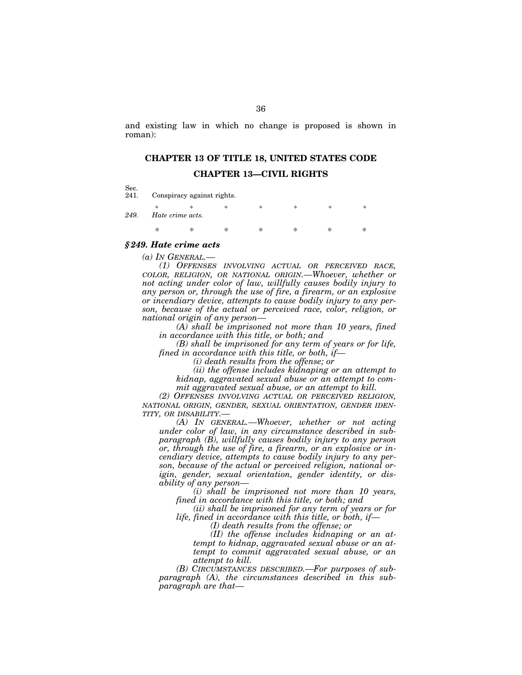and existing law in which no change is proposed is shown in roman):

# **CHAPTER 13 OF TITLE 18, UNITED STATES CODE**

# **CHAPTER 13—CIVIL RIGHTS**

Sec.<br>241.

Conspiracy against rights.

| 249. | ∗<br>Hate crime acts. | * | * | ∗ | * | ∗ | × |
|------|-----------------------|---|---|---|---|---|---|
|      | ∗                     | ∗ | × | ∗ | × | × | ÷ |

# *§ 249. Hate crime acts*

*(a) IN GENERAL.—* 

*(1) OFFENSES INVOLVING ACTUAL OR PERCEIVED RACE, COLOR, RELIGION, OR NATIONAL ORIGIN.—Whoever, whether or not acting under color of law, willfully causes bodily injury to any person or, through the use of fire, a firearm, or an explosive or incendiary device, attempts to cause bodily injury to any person, because of the actual or perceived race, color, religion, or national origin of any person—* 

*(A) shall be imprisoned not more than 10 years, fined in accordance with this title, or both; and* 

*(B) shall be imprisoned for any term of years or for life, fined in accordance with this title, or both, if—* 

*(i) death results from the offense; or* 

*(ii) the offense includes kidnaping or an attempt to kidnap, aggravated sexual abuse or an attempt to commit aggravated sexual abuse, or an attempt to kill.* 

*(2) OFFENSES INVOLVING ACTUAL OR PERCEIVED RELIGION, NATIONAL ORIGIN, GENDER, SEXUAL ORIENTATION, GENDER IDEN-TITY, OR DISABILITY.—* 

*(A) IN GENERAL.—Whoever, whether or not acting under color of law, in any circumstance described in subparagraph (B), willfully causes bodily injury to any person or, through the use of fire, a firearm, or an explosive or incendiary device, attempts to cause bodily injury to any person, because of the actual or perceived religion, national origin, gender, sexual orientation, gender identity, or disability of any person—* 

*(i) shall be imprisoned not more than 10 years, fined in accordance with this title, or both; and* 

*(ii) shall be imprisoned for any term of years or for life, fined in accordance with this title, or both, if—* 

*(I) death results from the offense; or* 

*(II) the offense includes kidnaping or an attempt to kidnap, aggravated sexual abuse or an attempt to commit aggravated sexual abuse, or an attempt to kill.* 

*(B) CIRCUMSTANCES DESCRIBED.—For purposes of subparagraph (A), the circumstances described in this subparagraph are that—*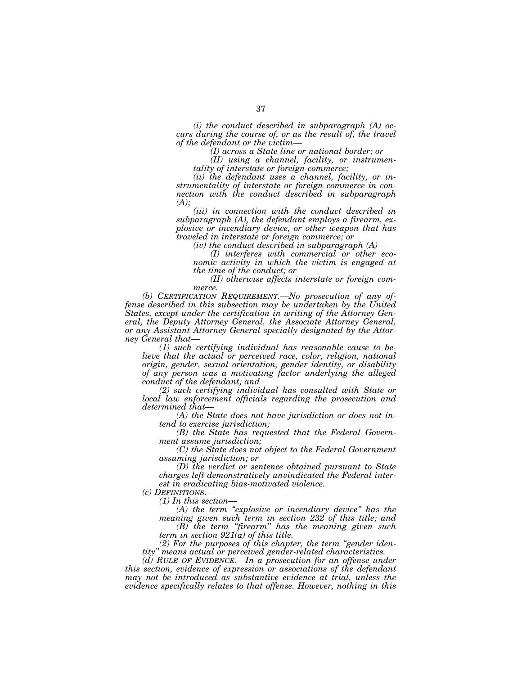*(i) the conduct described in subparagraph (A) occurs during the course of, or as the result of, the travel of the defendant or the victim—* 

*(I) across a State line or national border; or* 

*(II) using a channel, facility, or instrumentality of interstate or foreign commerce;* 

*(ii) the defendant uses a channel, facility, or instrumentality of interstate or foreign commerce in connection with the conduct described in subparagraph (A);* 

*(iii) in connection with the conduct described in subparagraph (A), the defendant employs a firearm, explosive or incendiary device, or other weapon that has traveled in interstate or foreign commerce; or* 

*(iv) the conduct described in subparagraph (A)—* 

*(I) interferes with commercial or other economic activity in which the victim is engaged at the time of the conduct; or* 

*(II) otherwise affects interstate or foreign commerce.* 

*(b) CERTIFICATION REQUIREMENT.—No prosecution of any offense described in this subsection may be undertaken by the United States, except under the certification in writing of the Attorney General, the Deputy Attorney General, the Associate Attorney General, or any Assistant Attorney General specially designated by the Attorney General that—* 

*(1) such certifying individual has reasonable cause to believe that the actual or perceived race, color, religion, national origin, gender, sexual orientation, gender identity, or disability of any person was a motivating factor underlying the alleged conduct of the defendant; and* 

*(2) such certifying individual has consulted with State or local law enforcement officials regarding the prosecution and determined that—* 

*(A) the State does not have jurisdiction or does not intend to exercise jurisdiction;* 

*(B) the State has requested that the Federal Government assume jurisdiction;* 

*(C) the State does not object to the Federal Government assuming jurisdiction; or* 

*(D) the verdict or sentence obtained pursuant to State charges left demonstratively unvindicated the Federal interest in eradicating bias-motivated violence.* 

*(c) DEFINITIONS.—* 

*(1) In this section—* 

*(A) the term ''explosive or incendiary device'' has the meaning given such term in section 232 of this title; and* 

*(B) the term ''firearm'' has the meaning given such term in section 921(a) of this title.* 

*(2) For the purposes of this chapter, the term ''gender identity'' means actual or perceived gender-related characteristics.* 

*(d) RULE OF EVIDENCE.—In a prosecution for an offense under this section, evidence of expression or associations of the defendant may not be introduced as substantive evidence at trial, unless the evidence specifically relates to that offense. However, nothing in this*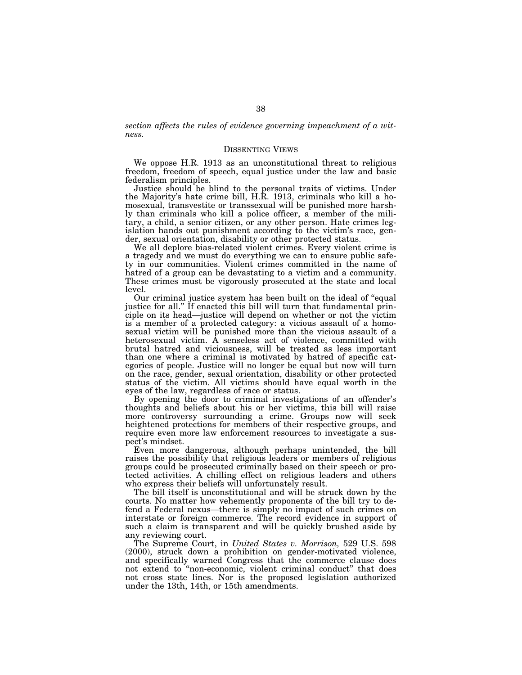*section affects the rules of evidence governing impeachment of a witness.* 

# DISSENTING VIEWS

We oppose H.R. 1913 as an unconstitutional threat to religious freedom, freedom of speech, equal justice under the law and basic federalism principles.

Justice should be blind to the personal traits of victims. Under the Majority's hate crime bill, H.R. 1913, criminals who kill a homosexual, transvestite or transsexual will be punished more harshly than criminals who kill a police officer, a member of the military, a child, a senior citizen, or any other person. Hate crimes legislation hands out punishment according to the victim's race, gender, sexual orientation, disability or other protected status.

We all deplore bias-related violent crimes. Every violent crime is a tragedy and we must do everything we can to ensure public safety in our communities. Violent crimes committed in the name of hatred of a group can be devastating to a victim and a community. These crimes must be vigorously prosecuted at the state and local level.

Our criminal justice system has been built on the ideal of ''equal justice for all." If enacted this bill will turn that fundamental principle on its head—justice will depend on whether or not the victim is a member of a protected category: a vicious assault of a homosexual victim will be punished more than the vicious assault of a heterosexual victim. A senseless act of violence, committed with brutal hatred and viciousness, will be treated as less important than one where a criminal is motivated by hatred of specific categories of people. Justice will no longer be equal but now will turn on the race, gender, sexual orientation, disability or other protected status of the victim. All victims should have equal worth in the eyes of the law, regardless of race or status.

By opening the door to criminal investigations of an offender's thoughts and beliefs about his or her victims, this bill will raise more controversy surrounding a crime. Groups now will seek heightened protections for members of their respective groups, and require even more law enforcement resources to investigate a suspect's mindset.

Even more dangerous, although perhaps unintended, the bill raises the possibility that religious leaders or members of religious groups could be prosecuted criminally based on their speech or protected activities. A chilling effect on religious leaders and others who express their beliefs will unfortunately result.

The bill itself is unconstitutional and will be struck down by the courts. No matter how vehemently proponents of the bill try to defend a Federal nexus—there is simply no impact of such crimes on interstate or foreign commerce. The record evidence in support of such a claim is transparent and will be quickly brushed aside by any reviewing court.

The Supreme Court, in *United States v. Morrison,* 529 U.S. 598 (2000), struck down a prohibition on gender-motivated violence, and specifically warned Congress that the commerce clause does not extend to "non-economic, violent criminal conduct" that does not cross state lines. Nor is the proposed legislation authorized under the 13th, 14th, or 15th amendments.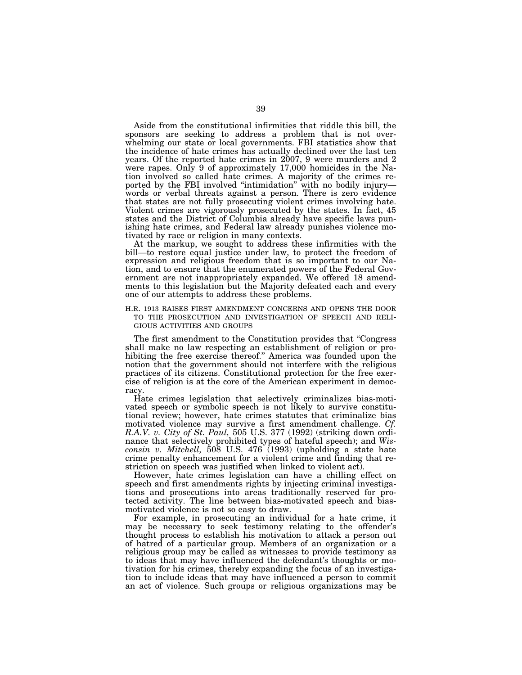Aside from the constitutional infirmities that riddle this bill, the sponsors are seeking to address a problem that is not overwhelming our state or local governments. FBI statistics show that the incidence of hate crimes has actually declined over the last ten years. Of the reported hate crimes in 2007, 9 were murders and 2 were rapes. Only 9 of approximately 17,000 homicides in the Nation involved so called hate crimes. A majority of the crimes reported by the FBI involved ''intimidation'' with no bodily injury words or verbal threats against a person. There is zero evidence that states are not fully prosecuting violent crimes involving hate. Violent crimes are vigorously prosecuted by the states. In fact, 45 states and the District of Columbia already have specific laws punishing hate crimes, and Federal law already punishes violence motivated by race or religion in many contexts.

At the markup, we sought to address these infirmities with the bill—to restore equal justice under law, to protect the freedom of expression and religious freedom that is so important to our Nation, and to ensure that the enumerated powers of the Federal Government are not inappropriately expanded. We offered 18 amendments to this legislation but the Majority defeated each and every one of our attempts to address these problems.

H.R. 1913 RAISES FIRST AMENDMENT CONCERNS AND OPENS THE DOOR TO THE PROSECUTION AND INVESTIGATION OF SPEECH AND RELI-GIOUS ACTIVITIES AND GROUPS

The first amendment to the Constitution provides that ''Congress shall make no law respecting an establishment of religion or prohibiting the free exercise thereof.'' America was founded upon the notion that the government should not interfere with the religious practices of its citizens. Constitutional protection for the free exercise of religion is at the core of the American experiment in democracy.

Hate crimes legislation that selectively criminalizes bias-motivated speech or symbolic speech is not likely to survive constitutional review; however, hate crimes statutes that criminalize bias motivated violence may survive a first amendment challenge. *Cf. R.A.V. v. City of St. Paul,* 505 U.S. 377 (1992) (striking down ordinance that selectively prohibited types of hateful speech); and *Wisconsin v. Mitchell,* 508 U.S. 476 (1993) (upholding a state hate crime penalty enhancement for a violent crime and finding that restriction on speech was justified when linked to violent act).

However, hate crimes legislation can have a chilling effect on speech and first amendments rights by injecting criminal investigations and prosecutions into areas traditionally reserved for protected activity. The line between bias-motivated speech and biasmotivated violence is not so easy to draw.

For example, in prosecuting an individual for a hate crime, it may be necessary to seek testimony relating to the offender's thought process to establish his motivation to attack a person out of hatred of a particular group. Members of an organization or a religious group may be called as witnesses to provide testimony as to ideas that may have influenced the defendant's thoughts or motivation for his crimes, thereby expanding the focus of an investigation to include ideas that may have influenced a person to commit an act of violence. Such groups or religious organizations may be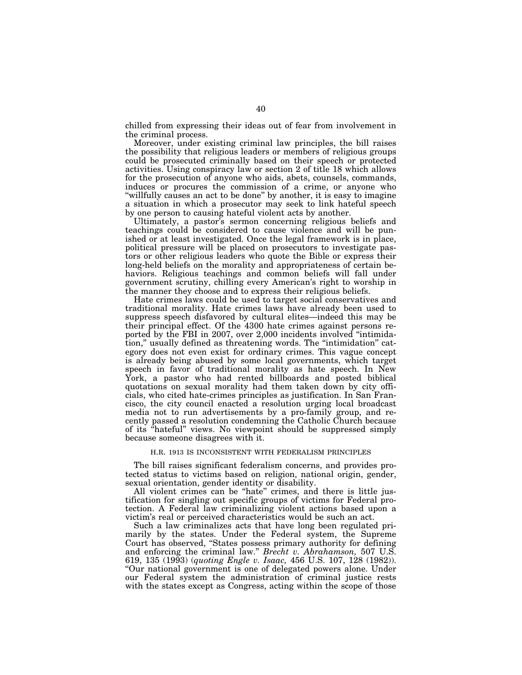chilled from expressing their ideas out of fear from involvement in the criminal process.

Moreover, under existing criminal law principles, the bill raises the possibility that religious leaders or members of religious groups could be prosecuted criminally based on their speech or protected activities. Using conspiracy law or section 2 of title 18 which allows for the prosecution of anyone who aids, abets, counsels, commands, induces or procures the commission of a crime, or anyone who ''willfully causes an act to be done'' by another, it is easy to imagine a situation in which a prosecutor may seek to link hateful speech by one person to causing hateful violent acts by another.

Ultimately, a pastor's sermon concerning religious beliefs and teachings could be considered to cause violence and will be punished or at least investigated. Once the legal framework is in place, political pressure will be placed on prosecutors to investigate pastors or other religious leaders who quote the Bible or express their long-held beliefs on the morality and appropriateness of certain behaviors. Religious teachings and common beliefs will fall under government scrutiny, chilling every American's right to worship in the manner they choose and to express their religious beliefs.

Hate crimes laws could be used to target social conservatives and traditional morality. Hate crimes laws have already been used to suppress speech disfavored by cultural elites—indeed this may be their principal effect. Of the 4300 hate crimes against persons reported by the FBI in 2007, over 2,000 incidents involved ''intimidation,'' usually defined as threatening words. The ''intimidation'' category does not even exist for ordinary crimes. This vague concept is already being abused by some local governments, which target speech in favor of traditional morality as hate speech. In New York, a pastor who had rented billboards and posted biblical quotations on sexual morality had them taken down by city officials, who cited hate-crimes principles as justification. In San Francisco, the city council enacted a resolution urging local broadcast media not to run advertisements by a pro-family group, and recently passed a resolution condemning the Catholic Church because of its ''hateful'' views. No viewpoint should be suppressed simply because someone disagrees with it.

#### H.R. 1913 IS INCONSISTENT WITH FEDERALISM PRINCIPLES

The bill raises significant federalism concerns, and provides protected status to victims based on religion, national origin, gender, sexual orientation, gender identity or disability.

All violent crimes can be "hate" crimes, and there is little justification for singling out specific groups of victims for Federal protection. A Federal law criminalizing violent actions based upon a victim's real or perceived characteristics would be such an act.

Such a law criminalizes acts that have long been regulated primarily by the states. Under the Federal system, the Supreme Court has observed, ''States possess primary authority for defining and enforcing the criminal law.'' *Brecht v. Abrahamson,* 507 U.S. 619, 135 (1993) (*quoting Engle v. Isaac,* 456 U.S. 107, 128 (1982)). "Our national government is one of delegated powers alone. Under our Federal system the administration of criminal justice rests with the states except as Congress, acting within the scope of those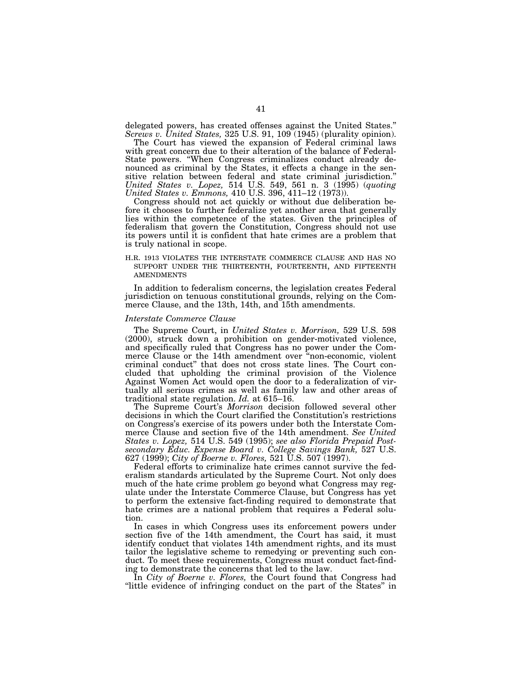delegated powers, has created offenses against the United States.'' *Screws v. United States,* 325 U.S. 91, 109 (1945) (plurality opinion).

The Court has viewed the expansion of Federal criminal laws with great concern due to their alteration of the balance of Federal-State powers. ''When Congress criminalizes conduct already denounced as criminal by the States, it effects a change in the sensitive relation between federal and state criminal jurisdiction.'' *United States v. Lopez,* 514 U.S. 549, 561 n. 3 (1995) (*quoting United States v. Emmons,* 410 U.S. 396, 411–12 (1973)).

Congress should not act quickly or without due deliberation before it chooses to further federalize yet another area that generally lies within the competence of the states. Given the principles of federalism that govern the Constitution, Congress should not use its powers until it is confident that hate crimes are a problem that is truly national in scope.

H.R. 1913 VIOLATES THE INTERSTATE COMMERCE CLAUSE AND HAS NO SUPPORT UNDER THE THIRTEENTH, FOURTEENTH, AND FIFTEENTH AMENDMENTS

In addition to federalism concerns, the legislation creates Federal jurisdiction on tenuous constitutional grounds, relying on the Commerce Clause, and the 13th, 14th, and 15th amendments.

# *Interstate Commerce Clause*

The Supreme Court, in *United States v. Morrison,* 529 U.S. 598 (2000), struck down a prohibition on gender-motivated violence, and specifically ruled that Congress has no power under the Commerce Clause or the 14th amendment over ''non-economic, violent criminal conduct'' that does not cross state lines. The Court concluded that upholding the criminal provision of the Violence Against Women Act would open the door to a federalization of virtually all serious crimes as well as family law and other areas of traditional state regulation. *Id.* at 615–16.

The Supreme Court's *Morrison* decision followed several other decisions in which the Court clarified the Constitution's restrictions on Congress's exercise of its powers under both the Interstate Commerce Clause and section five of the 14th amendment. *See United States v. Lopez,* 514 U.S. 549 (1995); *see also Florida Prepaid Postsecondary Educ. Expense Board v. College Savings Bank,* 527 U.S. 627 (1999); *City of Boerne v. Flores,* 521 U.S. 507 (1997).

Federal efforts to criminalize hate crimes cannot survive the federalism standards articulated by the Supreme Court. Not only does much of the hate crime problem go beyond what Congress may regulate under the Interstate Commerce Clause, but Congress has yet to perform the extensive fact-finding required to demonstrate that hate crimes are a national problem that requires a Federal solution.

In cases in which Congress uses its enforcement powers under section five of the 14th amendment, the Court has said, it must identify conduct that violates 14th amendment rights, and its must tailor the legislative scheme to remedying or preventing such conduct. To meet these requirements, Congress must conduct fact-finding to demonstrate the concerns that led to the law.

In *City of Boerne v. Flores,* the Court found that Congress had ''little evidence of infringing conduct on the part of the States'' in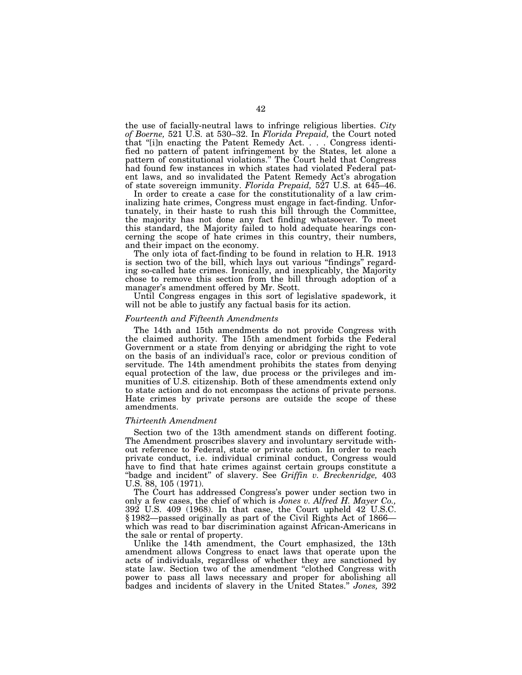the use of facially-neutral laws to infringe religious liberties. *City of Boerne,* 521 U.S. at 530–32. In *Florida Prepaid,* the Court noted that ''[i]n enacting the Patent Remedy Act. . . . Congress identified no pattern of patent infringement by the States, let alone a pattern of constitutional violations.'' The Court held that Congress had found few instances in which states had violated Federal patent laws, and so invalidated the Patent Remedy Act's abrogation of state sovereign immunity. *Florida Prepaid,* 527 U.S. at 645–46.

In order to create a case for the constitutionality of a law criminalizing hate crimes, Congress must engage in fact-finding. Unfortunately, in their haste to rush this bill through the Committee, the majority has not done any fact finding whatsoever. To meet this standard, the Majority failed to hold adequate hearings concerning the scope of hate crimes in this country, their numbers, and their impact on the economy.

The only iota of fact-finding to be found in relation to H.R. 1913 is section two of the bill, which lays out various ''findings'' regarding so-called hate crimes. Ironically, and inexplicably, the Majority chose to remove this section from the bill through adoption of a manager's amendment offered by Mr. Scott.

Until Congress engages in this sort of legislative spadework, it will not be able to justify any factual basis for its action.

# *Fourteenth and Fifteenth Amendments*

The 14th and 15th amendments do not provide Congress with the claimed authority. The 15th amendment forbids the Federal Government or a state from denying or abridging the right to vote on the basis of an individual's race, color or previous condition of servitude. The 14th amendment prohibits the states from denying equal protection of the law, due process or the privileges and immunities of U.S. citizenship. Both of these amendments extend only to state action and do not encompass the actions of private persons. Hate crimes by private persons are outside the scope of these amendments.

# *Thirteenth Amendment*

Section two of the 13th amendment stands on different footing. The Amendment proscribes slavery and involuntary servitude without reference to Federal, state or private action. In order to reach private conduct, i.e. individual criminal conduct, Congress would have to find that hate crimes against certain groups constitute a ''badge and incident'' of slavery. See *Griffin v. Breckenridge,* 403 U.S. 88, 105 (1971).

The Court has addressed Congress's power under section two in only a few cases, the chief of which is *Jones v. Alfred H. Mayer Co.,*  392 U.S. 409 (1968). In that case, the Court upheld 42 U.S.C. § 1982—passed originally as part of the Civil Rights Act of 1866 which was read to bar discrimination against African-Americans in the sale or rental of property.

Unlike the 14th amendment, the Court emphasized, the 13th amendment allows Congress to enact laws that operate upon the acts of individuals, regardless of whether they are sanctioned by state law. Section two of the amendment ''clothed Congress with power to pass all laws necessary and proper for abolishing all badges and incidents of slavery in the United States.'' *Jones,* 392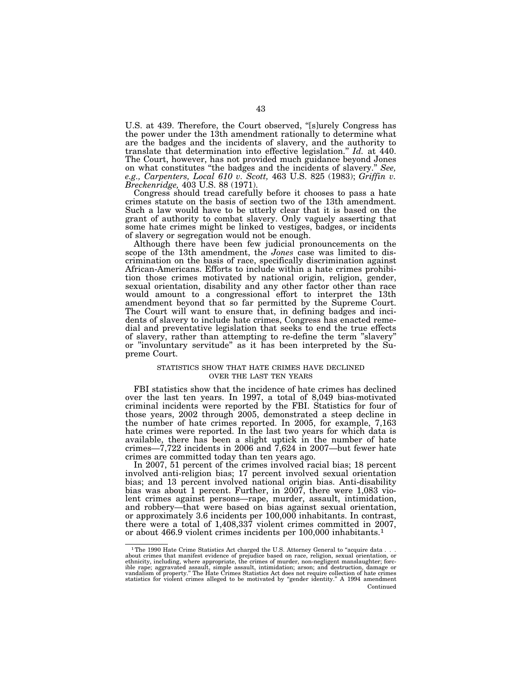U.S. at 439. Therefore, the Court observed, ''[s]urely Congress has the power under the 13th amendment rationally to determine what are the badges and the incidents of slavery, and the authority to translate that determination into effective legislation.'' *Id.* at 440. The Court, however, has not provided much guidance beyond Jones on what constitutes ''the badges and the incidents of slavery.'' *See, e.g., Carpenters, Local 610 v. Scott,* 463 U.S. 825 (1983); *Griffin v. Breckenridge,* 403 U.S. 88 (1971).

Congress should tread carefully before it chooses to pass a hate crimes statute on the basis of section two of the 13th amendment. Such a law would have to be utterly clear that it is based on the grant of authority to combat slavery. Only vaguely asserting that some hate crimes might be linked to vestiges, badges, or incidents of slavery or segregation would not be enough.

Although there have been few judicial pronouncements on the scope of the 13th amendment, the *Jones* case was limited to discrimination on the basis of race, specifically discrimination against African-Americans. Efforts to include within a hate crimes prohibition those crimes motivated by national origin, religion, gender, sexual orientation, disability and any other factor other than race would amount to a congressional effort to interpret the 13th amendment beyond that so far permitted by the Supreme Court. The Court will want to ensure that, in defining badges and incidents of slavery to include hate crimes, Congress has enacted remedial and preventative legislation that seeks to end the true effects of slavery, rather than attempting to re-define the term ''slavery'' or ''involuntary servitude'' as it has been interpreted by the Supreme Court.

# STATISTICS SHOW THAT HATE CRIMES HAVE DECLINED OVER THE LAST TEN YEARS

FBI statistics show that the incidence of hate crimes has declined over the last ten years. In 1997, a total of 8,049 bias-motivated criminal incidents were reported by the FBI. Statistics for four of those years, 2002 through 2005, demonstrated a steep decline in the number of hate crimes reported. In 2005, for example, 7,163 hate crimes were reported. In the last two years for which data is available, there has been a slight uptick in the number of hate crimes—7,722 incidents in 2006 and  $7,624$  in 2007—but fewer hate crimes are committed today than ten years ago.

In 2007, 51 percent of the crimes involved racial bias; 18 percent involved anti-religion bias; 17 percent involved sexual orientation bias; and 13 percent involved national origin bias. Anti-disability bias was about 1 percent. Further, in 2007, there were 1,083 violent crimes against persons—rape, murder, assault, intimidation, and robbery—that were based on bias against sexual orientation, or approximately 3.6 incidents per 100,000 inhabitants. In contrast, there were a total of 1,408,337 violent crimes committed in 2007, or about 466.9 violent crimes incidents per 100,000 inhabitants.1

<sup>&</sup>lt;sup>1</sup>The 1990 Hate Crime Statistics Act charged the U.S. Attorney General to "acquire data . about crimes that manifest evidence of prejudice based on race, religion, sexual orientation, or ethnicity, including, where appropriate, the crimes of murder, non-negligent manslaughter; forcible rape; aggravated assault, smple assault, intimidation; arson; and destruction, damage or vandalism of property." The Hate Continued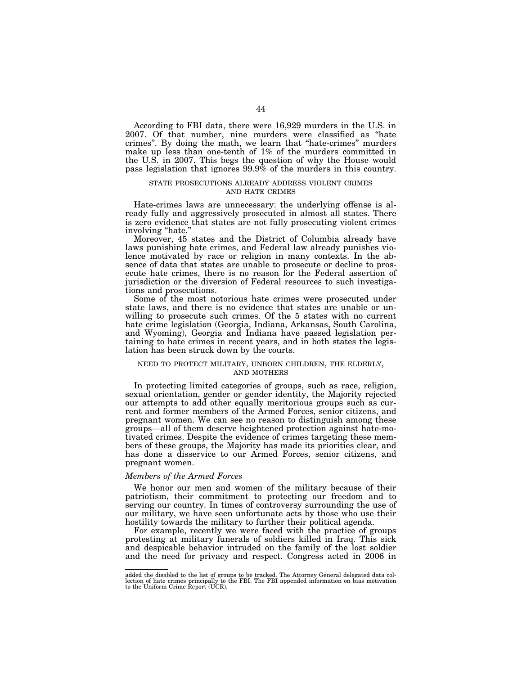According to FBI data, there were 16,929 murders in the U.S. in 2007. Of that number, nine murders were classified as ''hate crimes''. By doing the math, we learn that ''hate-crimes'' murders make up less than one-tenth of 1% of the murders committed in the U.S. in 2007. This begs the question of why the House would pass legislation that ignores 99.9% of the murders in this country.

# STATE PROSECUTIONS ALREADY ADDRESS VIOLENT CRIMES AND HATE CRIMES

Hate-crimes laws are unnecessary: the underlying offense is already fully and aggressively prosecuted in almost all states. There is zero evidence that states are not fully prosecuting violent crimes involving ''hate.''

Moreover, 45 states and the District of Columbia already have laws punishing hate crimes, and Federal law already punishes violence motivated by race or religion in many contexts. In the absence of data that states are unable to prosecute or decline to prosecute hate crimes, there is no reason for the Federal assertion of jurisdiction or the diversion of Federal resources to such investigations and prosecutions.

Some of the most notorious hate crimes were prosecuted under state laws, and there is no evidence that states are unable or unwilling to prosecute such crimes. Of the 5 states with no current hate crime legislation (Georgia, Indiana, Arkansas, South Carolina, and Wyoming), Georgia and Indiana have passed legislation pertaining to hate crimes in recent years, and in both states the legislation has been struck down by the courts.

#### NEED TO PROTECT MILITARY, UNBORN CHILDREN, THE ELDERLY, AND MOTHERS

In protecting limited categories of groups, such as race, religion, sexual orientation, gender or gender identity, the Majority rejected our attempts to add other equally meritorious groups such as current and former members of the Armed Forces, senior citizens, and pregnant women. We can see no reason to distinguish among these groups—all of them deserve heightened protection against hate-motivated crimes. Despite the evidence of crimes targeting these members of these groups, the Majority has made its priorities clear, and has done a disservice to our Armed Forces, senior citizens, and pregnant women.

#### *Members of the Armed Forces*

We honor our men and women of the military because of their patriotism, their commitment to protecting our freedom and to serving our country. In times of controversy surrounding the use of our military, we have seen unfortunate acts by those who use their hostility towards the military to further their political agenda.

For example, recently we were faced with the practice of groups protesting at military funerals of soldiers killed in Iraq. This sick and despicable behavior intruded on the family of the lost soldier and the need for privacy and respect. Congress acted in 2006 in

added the disabled to the list of groups to be tracked. The Attorney General delegated data col-<br>lection of hate crimes principally to the FBI. The FBI appended information on bias motivation<br>to the Uniform Crime Report (U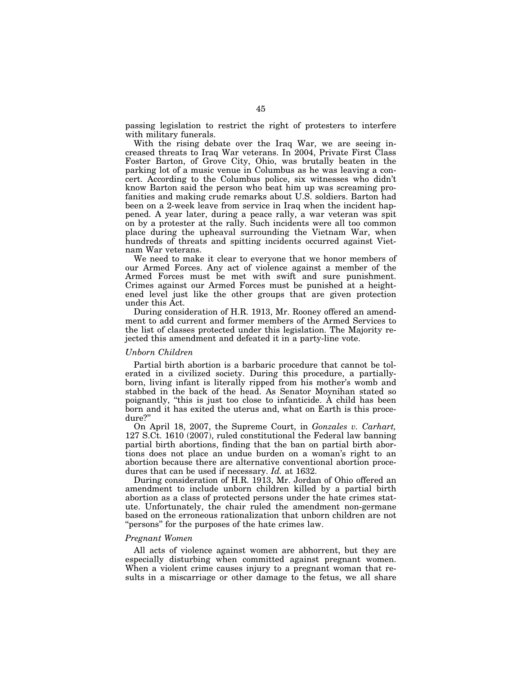passing legislation to restrict the right of protesters to interfere with military funerals.

With the rising debate over the Iraq War, we are seeing increased threats to Iraq War veterans. In 2004, Private First Class Foster Barton, of Grove City, Ohio, was brutally beaten in the parking lot of a music venue in Columbus as he was leaving a concert. According to the Columbus police, six witnesses who didn't know Barton said the person who beat him up was screaming profanities and making crude remarks about U.S. soldiers. Barton had been on a 2-week leave from service in Iraq when the incident happened. A year later, during a peace rally, a war veteran was spit on by a protester at the rally. Such incidents were all too common place during the upheaval surrounding the Vietnam War, when hundreds of threats and spitting incidents occurred against Vietnam War veterans.

We need to make it clear to everyone that we honor members of our Armed Forces. Any act of violence against a member of the Armed Forces must be met with swift and sure punishment. Crimes against our Armed Forces must be punished at a heightened level just like the other groups that are given protection under this Act.

During consideration of H.R. 1913, Mr. Rooney offered an amendment to add current and former members of the Armed Services to the list of classes protected under this legislation. The Majority rejected this amendment and defeated it in a party-line vote.

#### *Unborn Children*

Partial birth abortion is a barbaric procedure that cannot be tolerated in a civilized society. During this procedure, a partiallyborn, living infant is literally ripped from his mother's womb and stabbed in the back of the head. As Senator Moynihan stated so poignantly, "this is just too close to infanticide. A child has been born and it has exited the uterus and, what on Earth is this procedure?''

On April 18, 2007, the Supreme Court, in *Gonzales v. Carhart,*  127 S.Ct. 1610 (2007), ruled constitutional the Federal law banning partial birth abortions, finding that the ban on partial birth abortions does not place an undue burden on a woman's right to an abortion because there are alternative conventional abortion procedures that can be used if necessary. *Id.* at 1632.

During consideration of H.R. 1913, Mr. Jordan of Ohio offered an amendment to include unborn children killed by a partial birth abortion as a class of protected persons under the hate crimes statute. Unfortunately, the chair ruled the amendment non-germane based on the erroneous rationalization that unborn children are not "persons" for the purposes of the hate crimes law.

# *Pregnant Women*

All acts of violence against women are abhorrent, but they are especially disturbing when committed against pregnant women. When a violent crime causes injury to a pregnant woman that results in a miscarriage or other damage to the fetus, we all share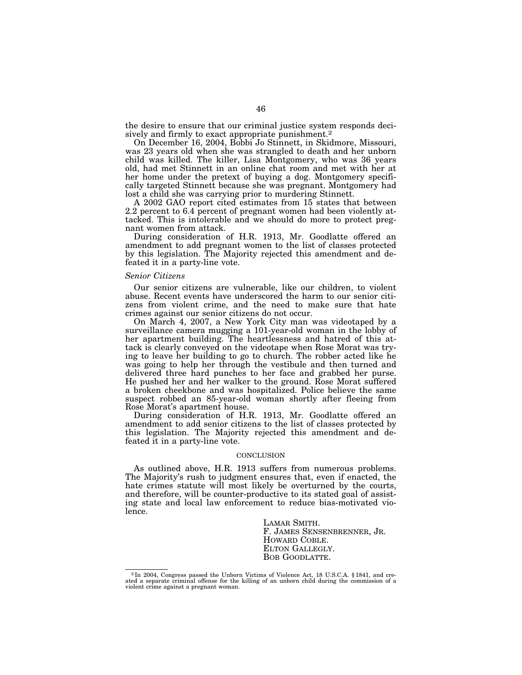the desire to ensure that our criminal justice system responds decisively and firmly to exact appropriate punishment.<sup>2</sup>

On December 16, 2004, Bobbi Jo Stinnett, in Skidmore, Missouri, was 23 years old when she was strangled to death and her unborn child was killed. The killer, Lisa Montgomery, who was 36 years old, had met Stinnett in an online chat room and met with her at her home under the pretext of buying a dog. Montgomery specifically targeted Stinnett because she was pregnant. Montgomery had lost a child she was carrying prior to murdering Stinnett.

A 2002 GAO report cited estimates from 15 states that between 2.2 percent to 6.4 percent of pregnant women had been violently attacked. This is intolerable and we should do more to protect pregnant women from attack.

During consideration of H.R. 1913, Mr. Goodlatte offered an amendment to add pregnant women to the list of classes protected by this legislation. The Majority rejected this amendment and defeated it in a party-line vote.

#### *Senior Citizens*

Our senior citizens are vulnerable, like our children, to violent abuse. Recent events have underscored the harm to our senior citizens from violent crime, and the need to make sure that hate crimes against our senior citizens do not occur.

On March 4, 2007, a New York City man was videotaped by a surveillance camera mugging a 101-year-old woman in the lobby of her apartment building. The heartlessness and hatred of this attack is clearly conveyed on the videotape when Rose Morat was trying to leave her building to go to church. The robber acted like he was going to help her through the vestibule and then turned and delivered three hard punches to her face and grabbed her purse. He pushed her and her walker to the ground. Rose Morat suffered a broken cheekbone and was hospitalized. Police believe the same suspect robbed an 85-year-old woman shortly after fleeing from Rose Morat's apartment house.

During consideration of H.R. 1913, Mr. Goodlatte offered an amendment to add senior citizens to the list of classes protected by this legislation. The Majority rejected this amendment and defeated it in a party-line vote.

#### **CONCLUSION**

As outlined above, H.R. 1913 suffers from numerous problems. The Majority's rush to judgment ensures that, even if enacted, the hate crimes statute will most likely be overturned by the courts, and therefore, will be counter-productive to its stated goal of assisting state and local law enforcement to reduce bias-motivated violence.

> LAMAR SMITH.<br>F. JAMES SENSENBRENNER, JR.<br>HOWARD COBLE. ELTON GALLEGLY.<br>BOB GOODLATTE.

<sup>2</sup> In 2004, Congress passed the Unborn Victims of Violence Act, 18 U.S.C.A. § 1841, and cre-ated a separate criminal offense for the killing of an unborn child during the commission of a violent crime against a pregnant woman.